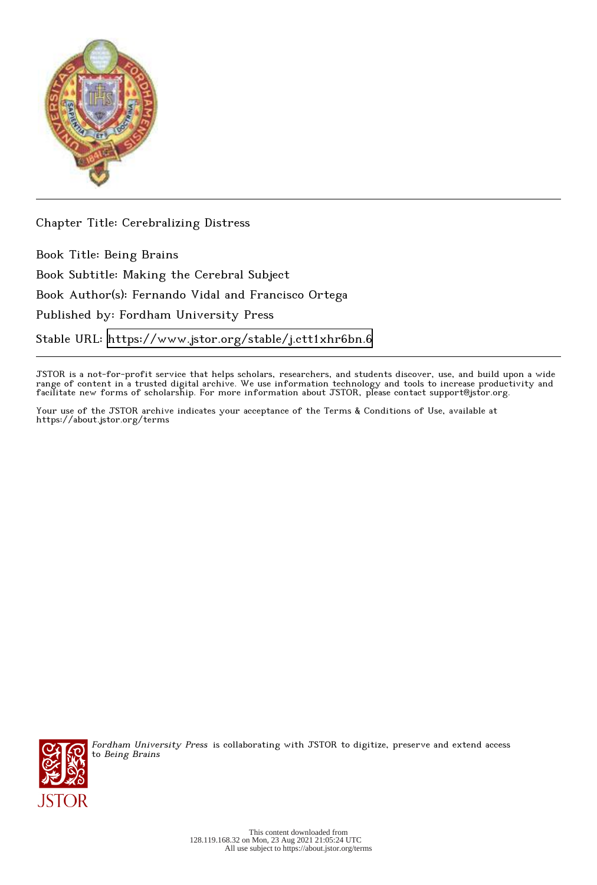

Chapter Title: Cerebralizing Distress

Book Title: Being Brains Book Subtitle: Making the Cerebral Subject Book Author(s): Fernando Vidal and Francisco Ortega Published by: Fordham University Press Stable URL:<https://www.jstor.org/stable/j.ctt1xhr6bn.6>

JSTOR is a not-for-profit service that helps scholars, researchers, and students discover, use, and build upon a wide range of content in a trusted digital archive. We use information technology and tools to increase productivity and facilitate new forms of scholarship. For more information about JSTOR, please contact support@jstor.org.

Your use of the JSTOR archive indicates your acceptance of the Terms & Conditions of Use, available at https://about.jstor.org/terms



Fordham University Press is collaborating with JSTOR to digitize, preserve and extend access to Being Brains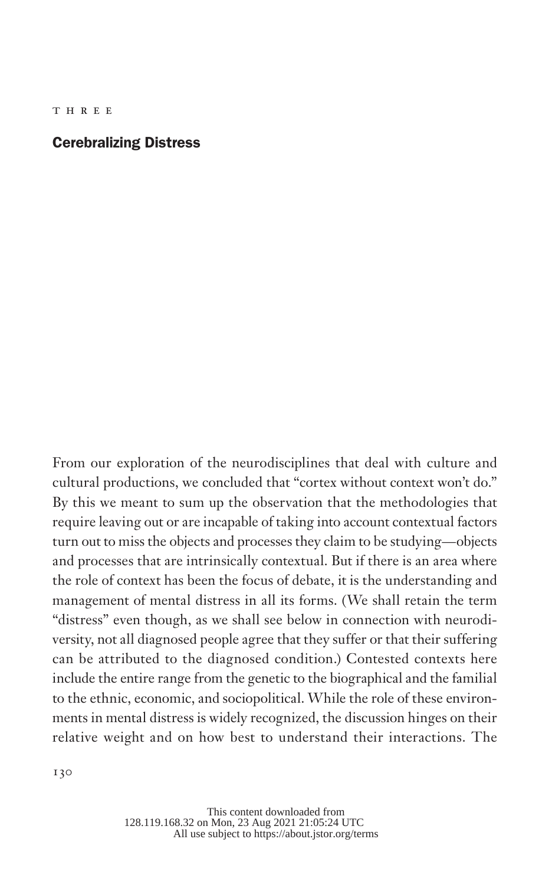THREE

#### **Ce re bralizing Distress**

From our exploration of the neurodisciplines that deal with culture and cultural productions, we concluded that "cortex without context won't do." By this we meant to sum up the observation that the methodologies that require leaving out or are incapable of taking into account contextual factors turn out to miss the objects and processes they claim to be studying—objects and processes that are intrinsically contextual. But if there is an area where the role of context has been the focus of debate, it is the understanding and management of mental distress in all its forms. (We shall retain the term "distress" even though, as we shall see below in connection with neurodiversity, not all diagnosed people agree that they suffer or that their suffering can be attributed to the diagnosed condition.) Contested contexts here include the entire range from the genetic to the biographical and the familial to the ethnic, economic, and sociopolitical. While the role of these environments in mental distress is widely recognized, the discussion hinges on their relative weight and on how best to understand their interactions. The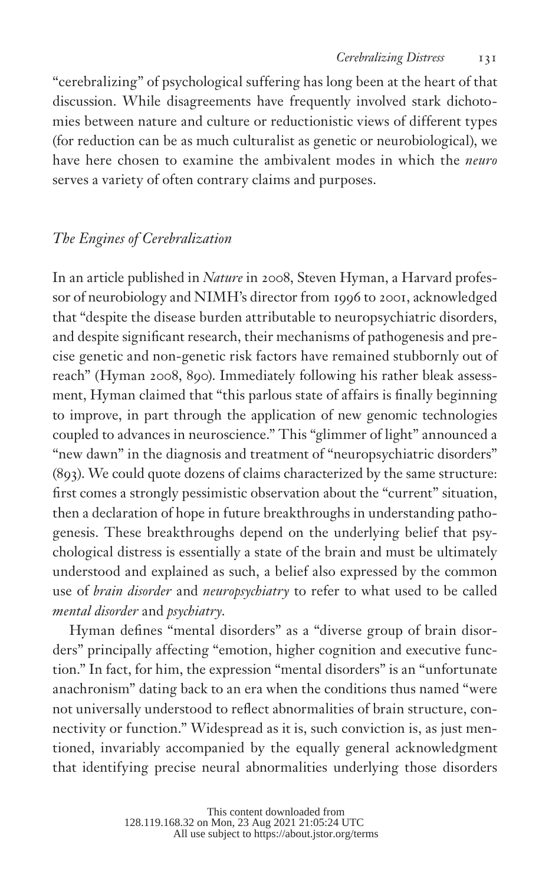"cerebralizing" of psychological suffering has long been at the heart of that discussion. While disagreements have frequently involved stark dichotomies between nature and culture or reductionistic views of different types (for reduction can be as much culturalist as genetic or neurobiological), we have here chosen to examine the ambivalent modes in which the *neuro* serves a variety of often contrary claims and purposes.

## *The Engines of Cerebralization*

In an article published in *Nature* in 2008, Steven Hyman, a Harvard professor of neurobiology and NIMH's director from 1996 to 2001, acknowledged that "despite the disease burden attributable to neuropsychiatric disorders, and despite significant research, their mechanisms of pathogenesis and precise genetic and non-genetic risk factors have remained stubbornly out of reach" (Hyman 2008, 890). Immediately following his rather bleak assessment, Hyman claimed that "this parlous state of affairs is finally beginning to improve, in part through the application of new genomic technologies coupled to advances in neuroscience." This "glimmer of light" announced a "new dawn" in the diagnosis and treatment of "neuropsychiatric disorders" (893). We could quote dozens of claims characterized by the same structure: first comes a strongly pessimistic observation about the "current" situation, then a declaration of hope in future breakthroughs in understanding pathogenesis. These breakthroughs depend on the underlying belief that psychological distress is essentially a state of the brain and must be ultimately understood and explained as such, a belief also expressed by the common use of *brain disorder* and *neuropsychiatry* to refer to what used to be called *mental disorder* and *psychiatry*.

Hyman defines "mental disorders" as a "diverse group of brain disorders" principally affecting "emotion, higher cognition and executive function." In fact, for him, the expression "mental disorders" is an "unfortunate anachronism" dating back to an era when the conditions thus named " were not universally understood to reflect abnormalities of brain structure, connectivity or function." Widespread as it is, such conviction is, as just mentioned, invariably accompanied by the equally general acknowledgment that identifying precise neural abnormalities underlying those disorders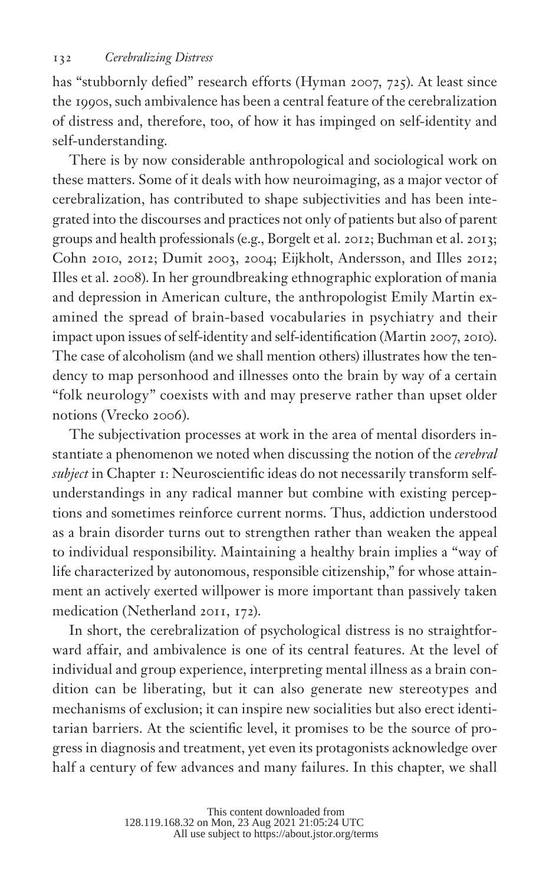has "stubbornly defied" research efforts (Hyman 2007, 725). At least since the 1990s, such ambivalence has been a central feature of the cerebralization of distress and, therefore, too, of how it has impinged on self- identity and self-understanding.

There is by now considerable anthropological and sociological work on these matters. Some of it deals with how neuroimaging, as a major vector of cerebralization, has contributed to shape subjectivities and has been integrated into the discourses and practices not only of patients but also of parent groups and health professionals (e.g., Borgelt et al. 2012; Buchman et al. 2013; Cohn 2010, 2012; Dumit 2003, 2004; Eijkholt, Andersson, and Illes 2012; Illes et al. 2008). In her groundbreaking ethnographic exploration of mania and depression in American culture, the anthropologist Emily Martin examined the spread of brain-based vocabularies in psychiatry and their impact upon issues of self- identity and self- identification (Martin 2007, 2010). The case of alcoholism (and we shall mention others) illustrates how the tendency to map personhood and illnesses onto the brain by way of a certain "folk neurology" coexists with and may preserve rather than upset older notions (Vrecko 2006).

The subjectivation processes at work in the area of mental disorders instantiate a phenomenon we noted when discussing the notion of the *cerebral subject* in Chapter 1: Neuroscientific ideas do not necessarily transform selfunderstandings in any radical manner but combine with existing perceptions and sometimes reinforce current norms. Thus, addiction understood as a brain disorder turns out to strengthen rather than weaken the appeal to individual responsibility. Maintaining a healthy brain implies a "way of life characterized by autonomous, responsible citizenship," for whose attainment an actively exerted willpower is more important than passively taken medication (Netherland 2011, 172).

In short, the cerebralization of psychological distress is no straightforward affair, and ambivalence is one of its central features. At the level of individual and group experience, interpreting mental illness as a brain condition can be liberating, but it can also generate new stereotypes and mechanisms of exclusion; it can inspire new socialities but also erect identitarian barriers. At the scientific level, it promises to be the source of progress in diagnosis and treatment, yet even its protagonists acknowledge over half a century of few advances and many failures. In this chapter, we shall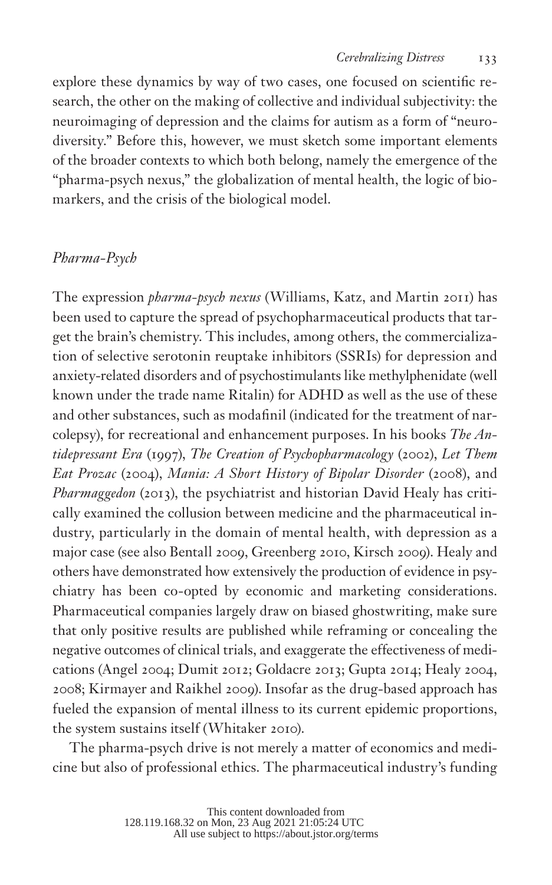explore these dynamics by way of two cases, one focused on scientific research, the other on the making of collective and individual subjectivity: the neuroimaging of depression and the claims for autism as a form of "neurodiversity." Before this, however, we must sketch some important elements of the broader contexts to which both belong, namely the emergence of the "pharma-psych nexus," the globalization of mental health, the logic of biomarkers, and the crisis of the biological model.

## *Pharma- Psych*

The expression *pharma- psych nexus* (Williams, Katz, and Martin 2011) has been used to capture the spread of psychopharmaceutical products that target the brain's chemistry. This includes, among others, the commercialization of selective serotonin reuptake inhibitors (SSRIs) for depression and anxiety- related disorders and of psychostimulants like methylphenidate (well known under the trade name Ritalin) for ADHD as well as the use of these and other substances, such as modafinil (indicated for the treatment of narcolepsy), for recreational and enhancement purposes. In his books *The Antidepressant Era* (1997), *The Creation of Psychopharmacology* (2002), *Let Them Eat Prozac* (2004), *Mania: A Short History of Bipolar Disorder* (2008), and *Pharmaggedon* (2013), the psychiatrist and historian David Healy has critically examined the collusion between medicine and the pharmaceutical industry, particularly in the domain of mental health, with depression as a major case (see also Bentall 2009, Greenberg 2010, Kirsch 2009). Healy and others have demonstrated how extensively the production of evidence in psychiatry has been co-opted by economic and marketing considerations. Pharmaceutical companies largely draw on biased ghostwriting, make sure that only positive results are published while reframing or concealing the negative outcomes of clinical trials, and exaggerate the effectiveness of medications (Angel 2004; Dumit 2012; Goldacre 2013; Gupta 2014; Healy 2004, 2008; Kirmayer and Raikhel 2009). Insofar as the drug- based approach has fueled the expansion of mental illness to its current epidemic proportions, the system sustains itself (Whitaker 2010).

The pharma-psych drive is not merely a matter of economics and medicine but also of professional ethics. The pharmaceutical industry's funding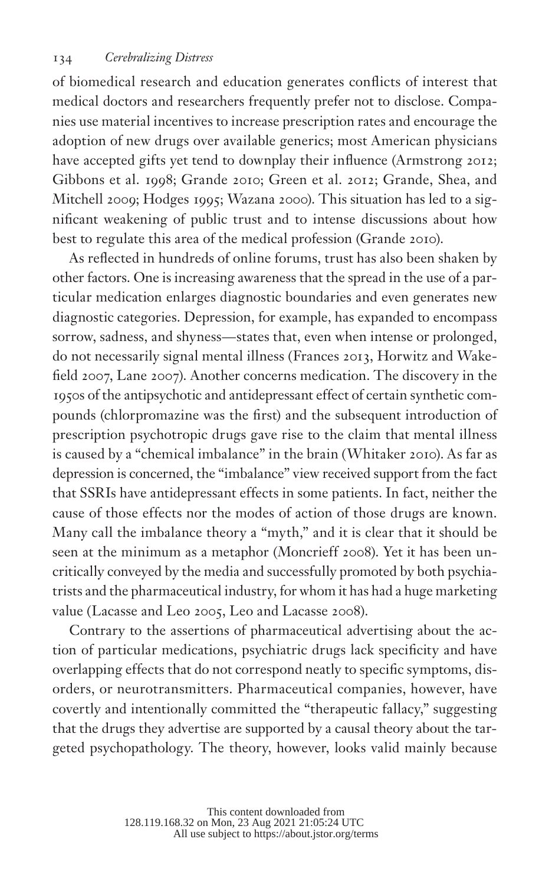of biomedical research and education generates conflicts of interest that medical doctors and researchers frequently prefer not to disclose. Companies use material incentives to increase prescription rates and encourage the adoption of new drugs over available generics; most American physicians have accepted gifts yet tend to downplay their influence (Armstrong 2012; Gibbons et al. 1998; Grande 2010; Green et al. 2012; Grande, Shea, and Mitchell 2009; Hodges 1995; Wazana 2000). This situation has led to a significant weakening of public trust and to intense discussions about how best to regulate this area of the medical profession (Grande 2010).

As reflected in hundreds of online forums, trust has also been shaken by other factors. One is increasing awareness that the spread in the use of a particular medication enlarges diagnostic boundaries and even generates new diagnostic categories. Depression, for example, has expanded to encompass sorrow, sadness, and shyness— states that, even when intense or prolonged, do not necessarily signal mental illness (Frances 2013, Horwitz and Wakefield 2007, Lane 2007). Another concerns medication. The discovery in the 1950s of the antipsychotic and antidepressant effect of certain synthetic compounds (chlorpromazine was the first) and the subsequent introduction of prescription psychotropic drugs gave rise to the claim that mental illness is caused by a "chemical imbalance" in the brain (Whitaker 2010). As far as depression is concerned, the "imbalance" view received support from the fact that SSRIs have antidepressant effects in some patients. In fact, neither the cause of those effects nor the modes of action of those drugs are known. Many call the imbalance theory a "myth," and it is clear that it should be seen at the minimum as a metaphor (Moncrieff 2008). Yet it has been uncritically conveyed by the media and successfully promoted by both psychiatrists and the pharmaceutical industry, for whom it has had a huge marketing value (Lacasse and Leo 2005, Leo and Lacasse 2008).

Contrary to the assertions of pharmaceutical advertising about the action of particular medications, psychiatric drugs lack specificity and have overlapping effects that do not correspond neatly to specific symptoms, disorders, or neurotransmitters. Pharmaceutical companies, however, have covertly and intentionally committed the "therapeutic fallacy," suggesting that the drugs they advertise are supported by a causal theory about the targeted psychopathology. The theory, however, looks valid mainly because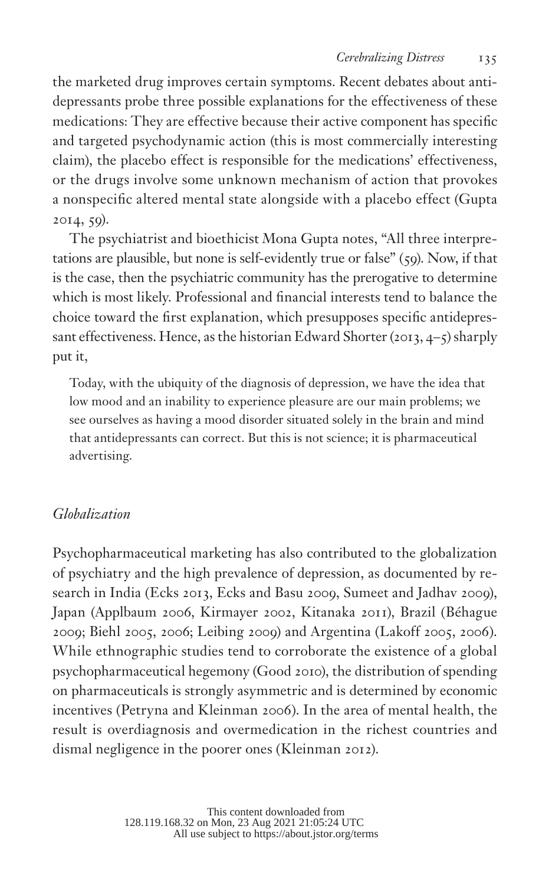the marketed drug improves certain symptoms. Recent debates about antidepressants probe three possible explanations for the effectiveness of these medications: They are effective because their active component has specific and targeted psychodynamic action (this is most commercially interesting claim), the placebo effect is responsible for the medications' effectiveness, or the drugs involve some unknown mechanism of action that provokes a nonspecific altered mental state alongside with a placebo effect (Gupta 2014, 59).

The psychiatrist and bioethicist Mona Gupta notes, "All three interpretations are plausible, but none is self- evidently true or false" (59). Now, if that is the case, then the psychiatric community has the prerogative to determine which is most likely. Professional and financial interests tend to balance the choice toward the first explanation, which presupposes specific antidepressant effectiveness. Hence, as the historian Edward Shorter (2013, 4–5) sharply put it,

 Today, with the ubiquity of the diagnosis of depression, we have the idea that low mood and an inability to experience pleasure are our main problems; we see ourselves as having a mood disorder situated solely in the brain and mind that antidepressants can correct. But this is not science; it is pharmaceutical advertising.

## *Globalization*

Psychopharmaceutical marketing has also contributed to the globalization of psychiatry and the high prevalence of depression, as documented by research in India (Ecks 2013, Ecks and Basu 2009, Sumeet and Jadhav 2009), Japan (Applbaum 2006, Kirmayer 2002, Kitanaka 2011), Brazil (Béhague 2009; Biehl 2005, 2006; Leibing 2009) and Argentina (Lakoff 2005, 2006). While ethnographic studies tend to corroborate the existence of a global psychopharmaceutical hegemony (Good 2010), the distribution of spending on pharmaceuticals is strongly asymmetric and is determined by economic incentives (Petryna and Kleinman 2006). In the area of mental health, the result is overdiagnosis and overmedication in the richest countries and dismal negligence in the poorer ones (Kleinman 2012).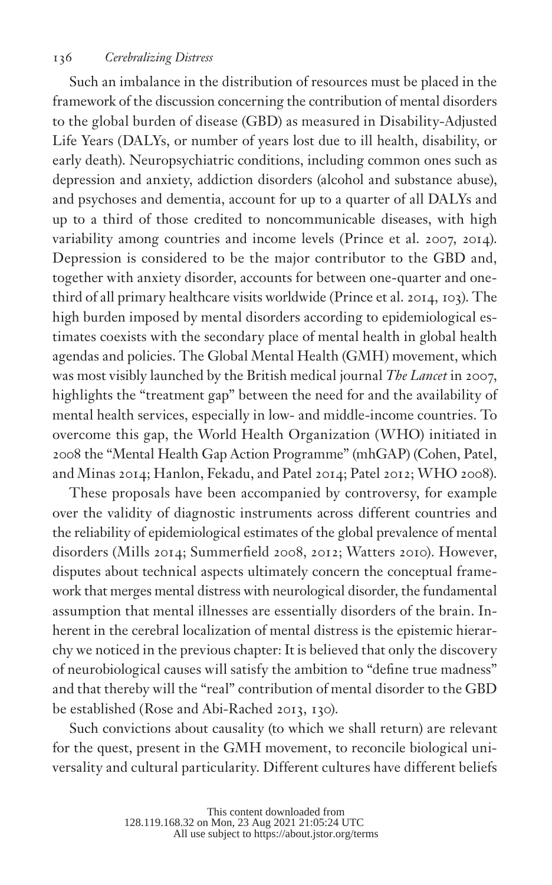#### 136 *Ce re bralizing Distress*

Such an imbalance in the distribution of resources must be placed in the framework of the discussion concerning the contribution of mental disorders to the global burden of disease (GBD) as measured in Disability-Adjusted Life Years (DALYs, or number of years lost due to ill health, disability, or early death). Neuropsychiatric conditions, including common ones such as depression and anxiety, addiction disorders (alcohol and substance abuse), and psychoses and dementia, account for up to a quarter of all DALYs and up to a third of those credited to noncommunicable diseases, with high variability among countries and income levels (Prince et al. 2007, 2014). Depression is considered to be the major contributor to the GBD and, together with anxiety disorder, accounts for between one- quarter and onethird of all primary healthcare visits worldwide (Prince et al. 2014, 103). The high burden imposed by mental disorders according to epidemiological estimates coexists with the secondary place of mental health in global health agendas and policies. The Global Mental Health (GMH) movement, which was most visibly launched by the British medical journal *The Lancet* in 2007, highlights the "treatment gap" between the need for and the availability of mental health services, especially in low- and middle-income countries. To overcome this gap, the World Health Organization (WHO) initiated in 2008 the " Mental Health Gap Action Programme" (mhGAP) (Cohen, Patel, and Minas 2014; Hanlon, Fekadu, and Patel 2014; Patel 2012; WHO 2008).

These proposals have been accompanied by controversy, for example over the validity of diagnostic instruments across different countries and the reliability of epidemiological estimates of the global prevalence of mental disorders (Mills 2014; Summerfield 2008, 2012; Watters 2010). However, disputes about technical aspects ultimately concern the conceptual framework that merges mental distress with neurological disorder, the fundamental assumption that mental illnesses are essentially disorders of the brain. Inherent in the cerebral localization of mental distress is the epistemic hierarchy we noticed in the previous chapter: It is believed that only the discovery of neurobiological causes will satisfy the ambition to "define true madness" and that thereby will the "real" contribution of mental disorder to the GBD be established (Rose and Abi-Rached 2013, 130).

Such convictions about causality (to which we shall return) are relevant for the quest, present in the GMH movement, to reconcile biological universality and cultural particularity. Different cultures have different beliefs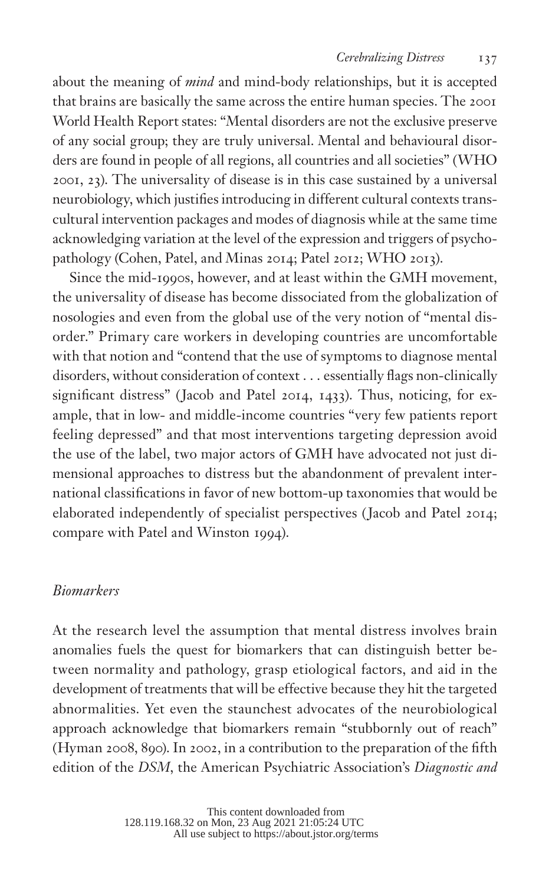about the meaning of *mind* and mind-body relationships, but it is accepted that brains are basically the same across the entire human species. The 2001 World Health Report states: "Mental disorders are not the exclusive preserve of any social group; they are truly universal. Mental and behavioural disorders are found in people of all regions, all countries and all societies" (WHO 2001, 23). The universality of disease is in this case sustained by a universal neurobiology, which justifies introducing in different cultural contexts transcultural intervention packages and modes of diagnosis while at the same time acknowledging variation at the level of the expression and triggers of psychopathology (Cohen, Patel, and Minas 2014; Patel 2012; WHO 2013).

Since the mid-1990s, however, and at least within the GMH movement, the universality of disease has become dissociated from the globalization of nosologies and even from the global use of the very notion of "mental disorder." Primary care workers in developing countries are uncomfortable with that notion and "contend that the use of symptoms to diagnose mental disorders, without consideration of context . . . essentially flags non- clinically significant distress" (Jacob and Patel 2014, 1433). Thus, noticing, for example, that in low-and middle- income countries "very few patients report feeling depressed" and that most interventions targeting depression avoid the use of the label, two major actors of GMH have advocated not just dimensional approaches to distress but the abandonment of prevalent international classifications in favor of new bottom-up taxonomies that would be elaborated independently of specialist perspectives (Jacob and Patel 2014; compare with Patel and Winston 1994).

#### *Biomarkers*

At the research level the assumption that mental distress involves brain anomalies fuels the quest for biomarkers that can distinguish better between normality and pathology, grasp etiological factors, and aid in the development of treatments that will be effective because they hit the targeted abnormalities. Yet even the staunchest advocates of the neurobiological approach acknowledge that biomarkers remain "stubbornly out of reach" (Hyman 2008, 890). In 2002, in a contribution to the preparation of the fifth edition of the *DSM*, the American Psychiatric Association's *Diagnostic and*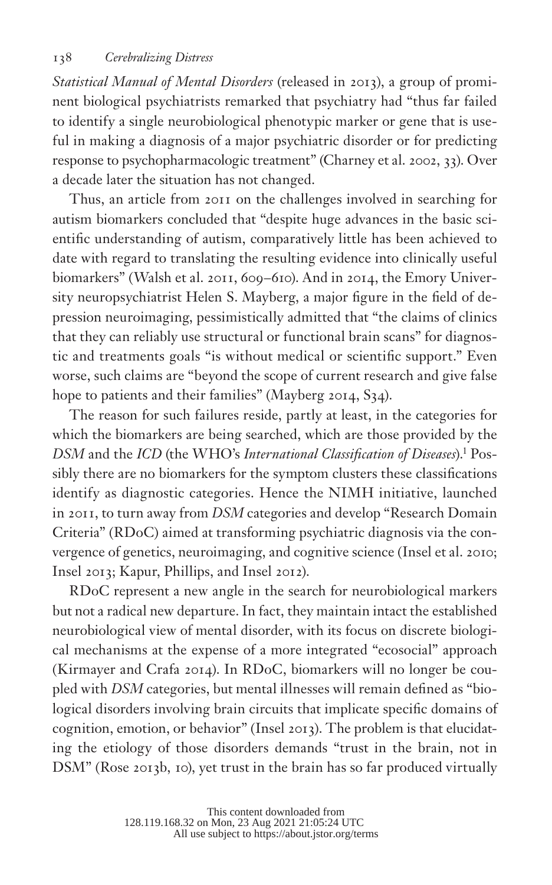#### 138 *Ce re bralizing Distress*

*Statistical Manual of Mental Disorders* (released in 2013), a group of prominent biological psychiatrists remarked that psychiatry had "thus far failed to identify a single neurobiological phenotypic marker or gene that is useful in making a diagnosis of a major psychiatric disorder or for predicting response to psychopharmacologic treatment" (Charney et al. 2002, 33). Over a decade later the situation has not changed.

Thus, an article from 2011 on the challenges involved in searching for autism biomarkers concluded that "despite huge advances in the basic scientific understanding of autism, comparatively little has been achieved to date with regard to translating the resulting evidence into clinically useful biomarkers" (Walsh et al. 2011, 609–610). And in 2014, the Emory University neuropsychiatrist Helen S. Mayberg, a major figure in the field of depression neuroimaging, pessimistically admitted that "the claims of clinics that they can reliably use structural or functional brain scans" for diagnostic and treatments goals "is without medical or scientific support." Even worse, such claims are "beyond the scope of current research and give false hope to patients and their families" (Mayberg 2014, S34).

The reason for such failures reside, partly at least, in the categories for which the biomarkers are being searched, which are those provided by the *DSM* and the *ICD* (the WHO's *International Classification of Diseases*).1 Possibly there are no biomarkers for the symptom clusters these classifications identify as diagnostic categories. Hence the NIMH initiative, launched in 2011, to turn away from *DSM* categories and develop "Research Domain Criteria" (RDoC) aimed at transforming psychiatric diagnosis via the convergence of genetics, neuroimaging, and cognitive science (Insel et al. 2010; Insel 2013; Kapur, Phillips, and Insel 2012).

RDoC represent a new angle in the search for neurobiological markers but not a radical new departure. In fact, they maintain intact the established neurobiological view of mental disorder, with its focus on discrete biological mechanisms at the expense of a more integrated "ecosocial" approach (Kirmayer and Crafa 2014). In RDoC, biomarkers will no longer be coupled with *DSM* categories, but mental illnesses will remain defined as "biological disorders involving brain circuits that implicate specific domains of cognition, emotion, or behavior" (Insel 2013). The problem is that elucidating the etiology of those disorders demands "trust in the brain, not in DSM" (Rose 2013b, 10), yet trust in the brain has so far produced virtually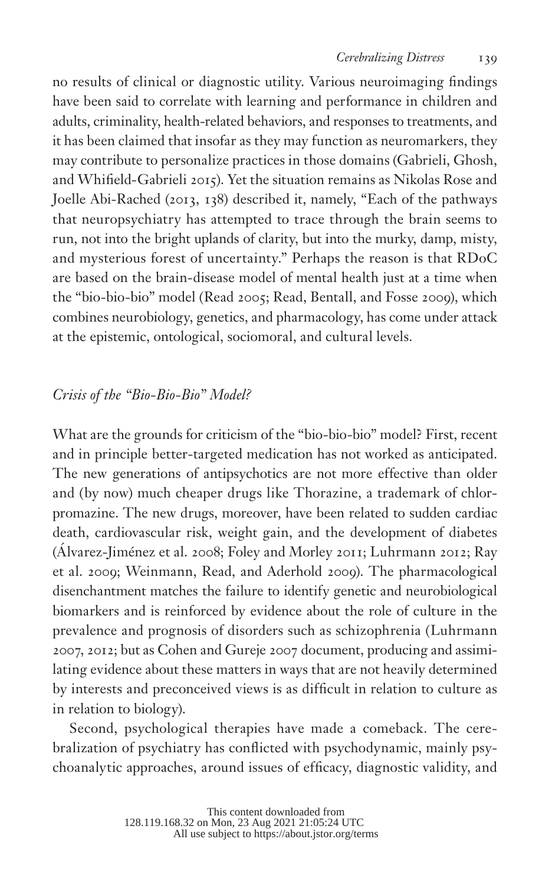no results of clinical or diagnostic utility. Various neuroimaging findings have been said to correlate with learning and performance in children and adults, criminality, health-related behaviors, and responses to treatments, and it has been claimed that insofar as they may function as neuromarkers, they may contribute to personalize practices in those domains (Gabrieli, Ghosh, and Whifield- Gabrieli 2015). Yet the situation remains as Nikolas Rose and Joelle Abi- Rached (2013, 138) described it, namely, "Each of the pathways that neuropsychiatry has attempted to trace through the brain seems to run, not into the bright uplands of clarity, but into the murky, damp, misty, and mysterious forest of uncertainty." Perhaps the reason is that RDoC are based on the brain- disease model of mental health just at a time when the "bio-bio-bio" model (Read 2005; Read, Bentall, and Fosse 2009), which combines neurobiology, genetics, and pharmacology, has come under attack at the epistemic, ontological, sociomoral, and cultural levels.

## *Crisis of the "Bio- Bio- Bio" Model?*

What are the grounds for criticism of the "bio-bio-bio" model? First, recent and in principle better-targeted medication has not worked as anticipated. The new generations of antipsychotics are not more effective than older and (by now) much cheaper drugs like Thorazine, a trademark of chlorpromazine. The new drugs, moreover, have been related to sudden cardiac death, cardiovascular risk, weight gain, and the development of diabetes (Álvarez- Jiménez et al. 2008; Foley and Morley 2011; Luhrmann 2012; Ray et al. 2009; Weinmann, Read, and Aderhold 2009). The pharmacological disenchantment matches the failure to identify genetic and neurobiological biomarkers and is reinforced by evidence about the role of culture in the prevalence and prognosis of disorders such as schizophrenia (Luhrmann 2007, 2012; but as Cohen and Gureje 2007 document, producing and assimilating evidence about these matters in ways that are not heavily determined by interests and preconceived views is as difficult in relation to culture as in relation to biology).

Second, psychological therapies have made a comeback. The cerebralization of psychiatry has conflicted with psychodynamic, mainly psychoanalytic approaches, around issues of efficacy, diagnostic validity, and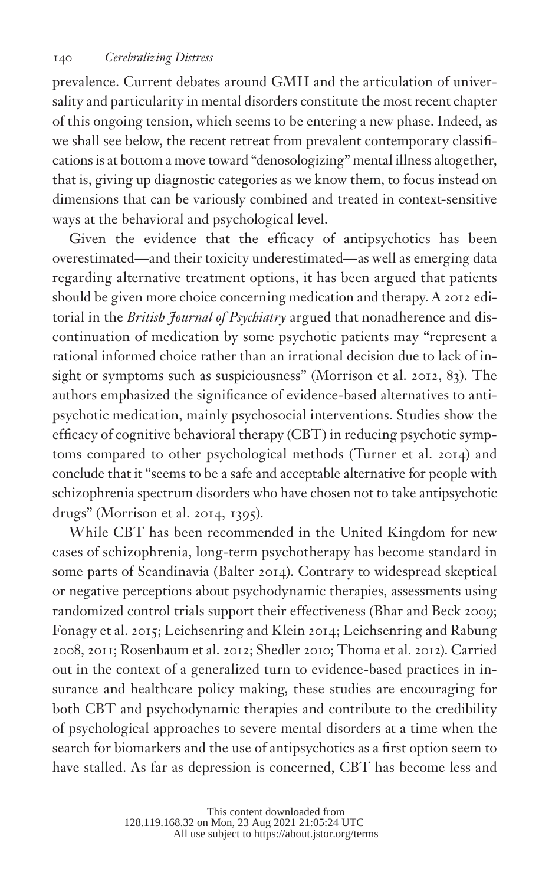prevalence. Current debates around GMH and the articulation of universality and particularity in mental disorders constitute the most recent chapter of this ongoing tension, which seems to be entering a new phase. Indeed, as we shall see below, the recent retreat from prevalent contemporary classifications is at bottom a move toward "denosologizing" mental illness altogether, that is, giving up diagnostic categories as we know them, to focus instead on dimensions that can be variously combined and treated in context-sensitive ways at the behavioral and psychological level.

Given the evidence that the efficacy of antipsychotics has been overestimated— and their toxicity underestimated—as well as emerging data regarding alternative treatment options, it has been argued that patients should be given more choice concerning medication and therapy. A 2012 editorial in the *British Journal of Psychiatry* argued that nonadherence and discontinuation of medication by some psychotic patients may "represent a rational informed choice rather than an irrational decision due to lack of insight or symptoms such as suspiciousness" (Morrison et al. 2012, 83). The authors emphasized the significance of evidence- based alternatives to antipsychotic medication, mainly psychosocial interventions. Studies show the efficacy of cognitive behavioral therapy (CBT) in reducing psychotic symptoms compared to other psychological methods (Turner et al. 2014) and conclude that it "seems to be a safe and acceptable alternative for people with schizophrenia spectrum disorders who have chosen not to take antipsychotic drugs" (Morrison et al. 2014, 1395).

While CBT has been recommended in the United Kingdom for new cases of schizophrenia, long-term psychotherapy has become standard in some parts of Scandinavia (Balter 2014). Contrary to widespread skeptical or negative perceptions about psychodynamic therapies, assessments using randomized control trials support their effectiveness (Bhar and Beck 2009; Fonagy et al. 2015; Leichsenring and Klein 2014; Leichsenring and Rabung 2008, 2011; Rosenbaum et al. 2012; Shedler 2010; Thoma et al. 2012). Carried out in the context of a generalized turn to evidence- based practices in insurance and healthcare policy making, these studies are encouraging for both CBT and psychodynamic therapies and contribute to the credibility of psychological approaches to severe mental disorders at a time when the search for biomarkers and the use of antipsychotics as a first option seem to have stalled. As far as depression is concerned, CBT has become less and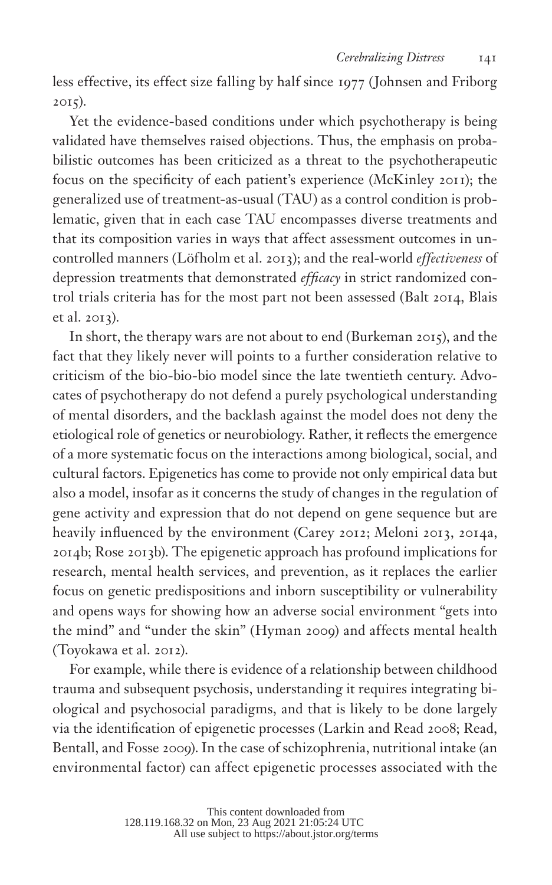less effective, its effect size falling by half since 1977 (Johnsen and Friborg 2015).

Yet the evidence-based conditions under which psychotherapy is being validated have themselves raised objections. Thus, the emphasis on probabilistic outcomes has been criticized as a threat to the psychotherapeutic focus on the specificity of each patient's experience (McKinley 2011); the generalized use of treatment-as-usual (TAU) as a control condition is problematic, given that in each case TAU encompasses diverse treatments and that its composition varies in ways that affect assessment outcomes in uncontrolled manners (Löfholm et al. 2013); and the real- world *effectiveness* of depression treatments that demonstrated *efficacy* in strict randomized control trials criteria has for the most part not been assessed (Balt 2014, Blais et al. 2013).

In short, the therapy wars are not about to end (Burkeman 2015), and the fact that they likely never will points to a further consideration relative to criticism of the bio-bio-bio model since the late twentieth century. Advocates of psychotherapy do not defend a purely psychological understanding of mental disorders, and the backlash against the model does not deny the etiological role of genetics or neurobiology. Rather, it reflects the emergence of a more systematic focus on the interactions among biological, social, and cultural factors. Epigenetics has come to provide not only empirical data but also a model, insofar as it concerns the study of changes in the regulation of gene activity and expression that do not depend on gene sequence but are heavily influenced by the environment (Carey 2012; Meloni 2013, 2014a, 2014b; Rose 2013b). The epigenetic approach has profound implications for research, mental health services, and prevention, as it replaces the earlier focus on genetic predispositions and inborn susceptibility or vulnerability and opens ways for showing how an adverse social environment "gets into the mind" and "under the skin" (Hyman 2009) and affects mental health (Toyokawa et al. 2012).

For example, while there is evidence of a relationship between childhood trauma and subsequent psychosis, understanding it requires integrating biological and psychosocial paradigms, and that is likely to be done largely via the identification of epigenetic processes (Larkin and Read 2008; Read, Bentall, and Fosse 2009). In the case of schizophrenia, nutritional intake (an environmental factor) can affect epigenetic processes associated with the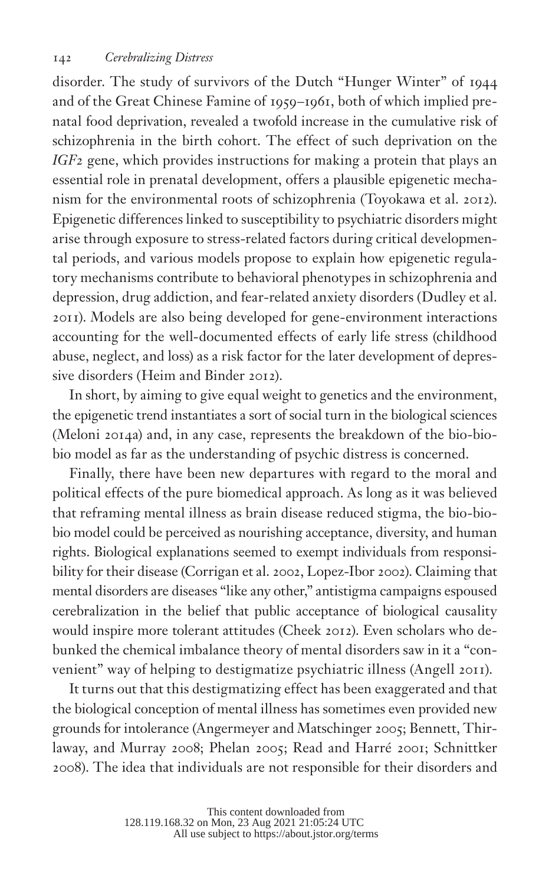disorder. The study of survivors of the Dutch "Hunger Winter" of 1944 and of the Great Chinese Famine of 1959–1961, both of which implied prenatal food deprivation, revealed a twofold increase in the cumulative risk of schizophrenia in the birth cohort. The effect of such deprivation on the *IGF2* gene, which provides instructions for making a protein that plays an essential role in prenatal development, offers a plausible epigenetic mechanism for the environmental roots of schizophrenia (Toyokawa et al. 2012). Epigenetic differences linked to susceptibility to psychiatric disorders might arise through exposure to stress- related factors during critical developmental periods, and various models propose to explain how epigenetic regulatory mechanisms contribute to behavioral phenotypes in schizophrenia and depression, drug addiction, and fear- related anxiety disorders (Dudley et al. 2011). Models are also being developed for gene- environment interactions accounting for the well-documented effects of early life stress (childhood abuse, neglect, and loss) as a risk factor for the later development of depressive disorders (Heim and Binder 2012).

In short, by aiming to give equal weight to genetics and the environment, the epigenetic trend instantiates a sort of social turn in the biological sciences (Meloni 2014a) and, in any case, represents the breakdown of the bio-biobio model as far as the understanding of psychic distress is concerned.

Finally, there have been new departures with regard to the moral and political effects of the pure biomedical approach. As long as it was believed that reframing mental illness as brain disease reduced stigma, the bio-biobio model could be perceived as nourishing acceptance, diversity, and human rights. Biological explanations seemed to exempt individuals from responsibility for their disease (Corrigan et al. 2002, Lopez-Ibor 2002). Claiming that mental disorders are diseases "like any other," antistigma campaigns espoused cerebralization in the belief that public acceptance of biological causality would inspire more tolerant attitudes (Cheek 2012). Even scholars who debunked the chemical imbalance theory of mental disorders saw in it a "convenient" way of helping to destigmatize psychiatric illness (Angell 2011).

It turns out that this destigmatizing effect has been exaggerated and that the biological conception of mental illness has sometimes even provided new grounds for intolerance (Angermeyer and Matschinger 2005; Bennett, Thirlaway, and Murray 2008; Phelan 2005; Read and Harré 2001; Schnittker 2008). The idea that individuals are not responsible for their disorders and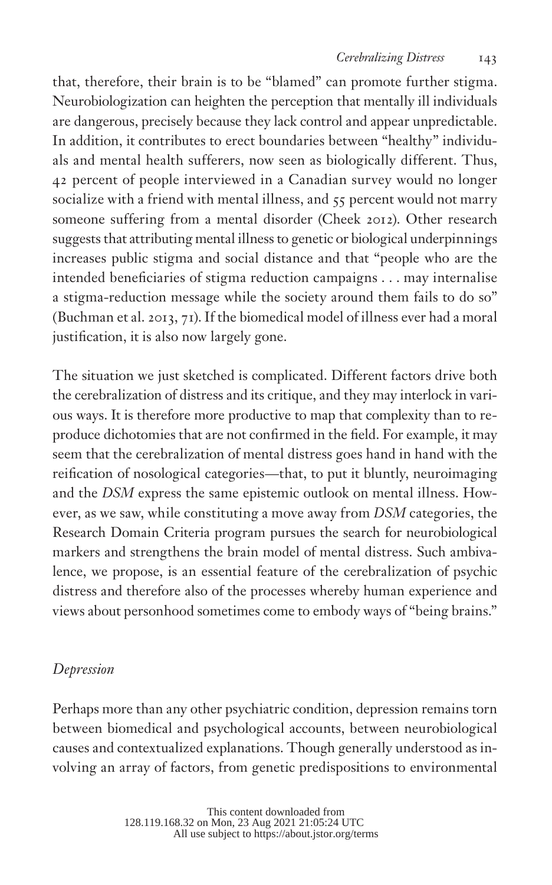that, therefore, their brain is to be "blamed" can promote further stigma. Neurobiologization can heighten the perception that mentally ill individuals are dangerous, precisely because they lack control and appear unpredictable. In addition, it contributes to erect boundaries between "healthy" individuals and mental health sufferers, now seen as biologically different. Thus, 42 percent of people interviewed in a Canadian survey would no longer socialize with a friend with mental illness, and 55 percent would not marry someone suffering from a mental disorder (Cheek 2012). Other research suggests that attributing mental illness to genetic or biological underpinnings increases public stigma and social distance and that "people who are the intended beneficiaries of stigma reduction campaigns . . . may internalise a stigma- reduction message while the society around them fails to do so" (Buchman et al. 2013, 71). If the biomedical model of illness ever had a moral justification, it is also now largely gone.

The situation we just sketched is complicated. Different factors drive both the cerebralization of distress and its critique, and they may interlock in various ways. It is therefore more productive to map that complexity than to reproduce dichotomies that are not confirmed in the field. For example, it may seem that the cerebralization of mental distress goes hand in hand with the reification of nosological categories— that, to put it bluntly, neuroimaging and the *DSM* express the same epistemic outlook on mental illness. However, as we saw, while constituting a move away from *DSM* categories, the Research Domain Criteria program pursues the search for neurobiological markers and strengthens the brain model of mental distress. Such ambivalence, we propose, is an essential feature of the cerebralization of psychic distress and therefore also of the processes whereby human experience and views about personhood sometimes come to embody ways of "being brains."

## *Depression*

Perhaps more than any other psychiatric condition, depression remains torn between biomedical and psychological accounts, between neurobiological causes and contextualized explanations. Though generally understood as involving an array of factors, from genetic predispositions to environmental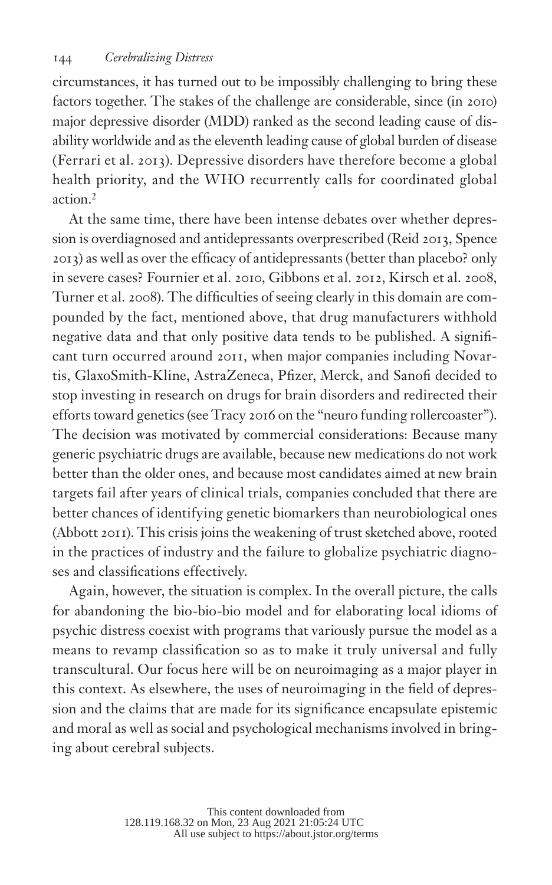circumstances, it has turned out to be impossibly challenging to bring these factors together. The stakes of the challenge are considerable, since (in 2010) major depressive disorder (MDD) ranked as the second leading cause of disability worldwide and as the eleventh leading cause of global burden of disease (Ferrari et al. 2013). Depressive disorders have therefore become a global health priority, and the WHO recurrently calls for coordinated global action.2

At the same time, there have been intense debates over whether depression is overdiagnosed and antidepressants overprescribed (Reid 2013, Spence 2013) as well as over the efficacy of antidepressants (better than placebo? only in severe cases? Fournier et al. 2010, Gibbons et al. 2012, Kirsch et al. 2008, Turner et al. 2008). The difficulties of seeing clearly in this domain are compounded by the fact, mentioned above, that drug manufacturers withhold negative data and that only positive data tends to be published. A significant turn occurred around 2011, when major companies including Novartis, GlaxoSmith-Kline, AstraZeneca, Pfizer, Merck, and Sanofi decided to stop investing in research on drugs for brain disorders and redirected their efforts toward genetics (see Tracy 2016 on the "neuro funding rollercoaster"). The decision was motivated by commercial considerations: Because many generic psychiatric drugs are available, because new medications do not work better than the older ones, and because most candidates aimed at new brain targets fail after years of clinical trials, companies concluded that there are better chances of identifying genetic biomarkers than neurobiological ones (Abbott 2011). This crisis joins the weakening of trust sketched above, rooted in the practices of industry and the failure to globalize psychiatric diagnoses and classifications effectively.

Again, however, the situation is complex. In the overall picture, the calls for abandoning the bio-bio-bio model and for elaborating local idioms of psychic distress coexist with programs that variously pursue the model as a means to revamp classification so as to make it truly universal and fully transcultural. Our focus here will be on neuroimaging as a major player in this context. As elsewhere, the uses of neuroimaging in the field of depression and the claims that are made for its significance encapsulate epistemic and moral as well as social and psychological mechanisms involved in bringing about cerebral subjects.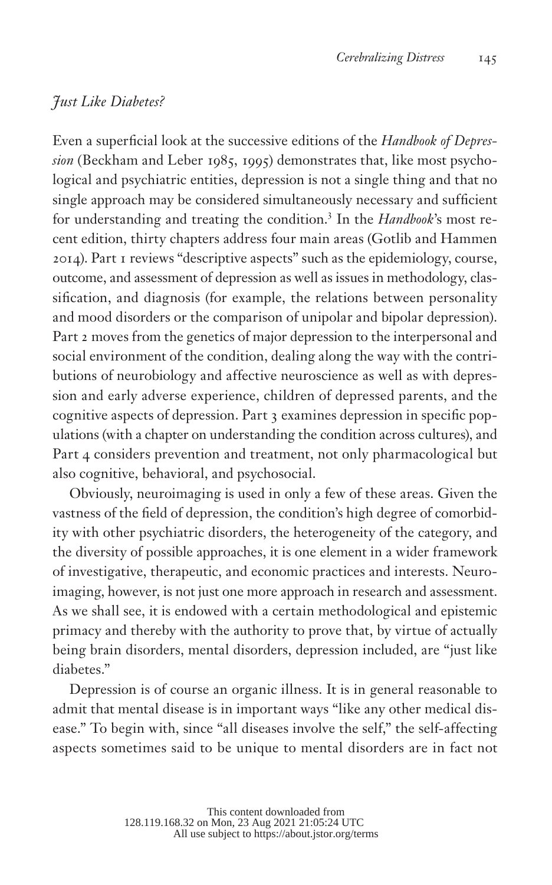## *Just Like Diabetes?*

Even a superficial look at the successive editions of the *Handbook of Depression* (Beckham and Leber 1985, 1995) demonstrates that, like most psychological and psychiatric entities, depression is not a single thing and that no single approach may be considered simultaneously necessary and sufficient for understanding and treating the condition.3 In the *Handbook*'s most recent edition, thirty chapters address four main areas (Gotlib and Hammen 2014). Part 1 reviews "descriptive aspects" such as the epidemiology, course, outcome, and assessment of depression as well as issues in methodology, classification, and diagnosis (for example, the relations between personality and mood disorders or the comparison of unipolar and bipolar depression). Part 2 moves from the genetics of major depression to the interpersonal and social environment of the condition, dealing along the way with the contributions of neurobiology and affective neuroscience as well as with depression and early adverse experience, children of depressed parents, and the cognitive aspects of depression. Part 3 examines depression in specific populations (with a chapter on understanding the condition across cultures), and Part 4 considers prevention and treatment, not only pharmacological but also cognitive, behavioral, and psychosocial.

Obviously, neuroimaging is used in only a few of these areas. Given the vastness of the field of depression, the condition's high degree of comorbidity with other psychiatric disorders, the heterogeneity of the category, and the diversity of possible approaches, it is one element in a wider framework of investigative, therapeutic, and economic practices and interests. Neuroimaging, however, is not just one more approach in research and assessment. As we shall see, it is endowed with a certain methodological and epistemic primacy and thereby with the authority to prove that, by virtue of actually being brain disorders, mental disorders, depression included, are "just like diabetes."

Depression is of course an organic illness. It is in general reasonable to admit that mental disease is in important ways "like any other medical disease." To begin with, since "all diseases involve the self," the self-affecting aspects sometimes said to be unique to mental disorders are in fact not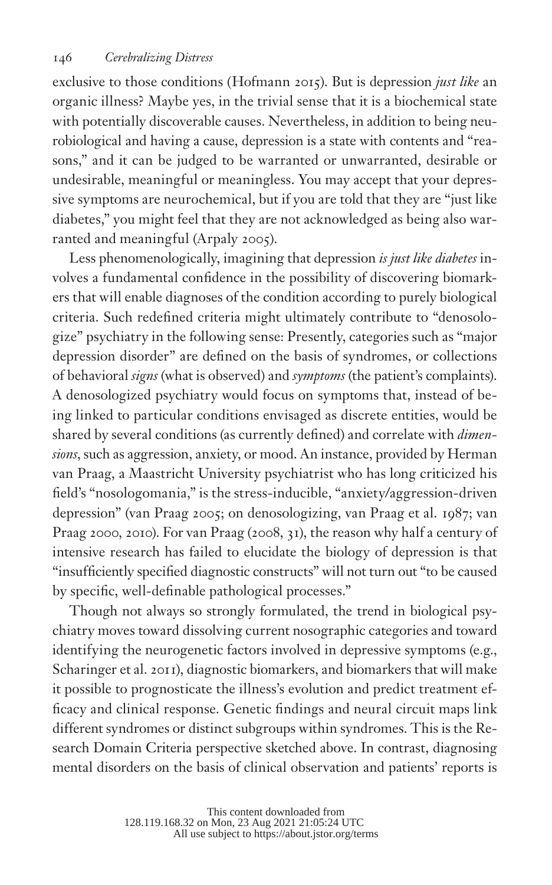exclusive to those conditions (Hofmann 2015). But is depression *just like* an organic illness? Maybe yes, in the trivial sense that it is a biochemical state with potentially discoverable causes. Nevertheless, in addition to being neurobiological and having a cause, depression is a state with contents and "reasons," and it can be judged to be warranted or unwarranted, desirable or undesirable, meaningful or meaningless. You may accept that your depressive symptoms are neurochemical, but if you are told that they are "just like diabetes," you might feel that they are not acknowledged as being also warranted and meaningful (Arpaly 2005).

Less phenomenologically, imagining that depression *is just like diabetes* involves a fundamental confidence in the possibility of discovering biomarkers that will enable diagnoses of the condition according to purely biological criteria. Such redefined criteria might ultimately contribute to "denosologize" psychiatry in the following sense: Presently, categories such as "major depression disorder" are defined on the basis of syndromes, or collections of behavioral *signs* (what is observed) and *symptoms* (the patient's complaints). A denosologized psychiatry would focus on symptoms that, instead of being linked to particular conditions envisaged as discrete entities, would be shared by several conditions (as currently defined) and correlate with *dimensions*, such as aggression, anxiety, or mood. An instance, provided by Herman van Praag, a Maastricht University psychiatrist who has long criticized his field's "nosologomania," is the stress- inducible, "anxiety/aggression- driven depression" (van Praag 2005; on denosologizing, van Praag et al. 1987; van Praag 2000, 2010). For van Praag (2008, 31), the reason why half a century of intensive research has failed to elucidate the biology of depression is that "insufficiently specified diagnostic constructs" will not turn out "to be caused by specific, well-definable pathological processes."

Though not always so strongly formulated, the trend in biological psychiatry moves toward dissolving current nosographic categories and toward identifying the neurogenetic factors involved in depressive symptoms (e.g., Scharinger et al. 2011), diagnostic biomarkers, and biomarkers that will make it possible to prognosticate the illness's evolution and predict treatment efficacy and clinical response. Genetic findings and neural circuit maps link different syndromes or distinct subgroups within syndromes. This is the Research Domain Criteria perspective sketched above. In contrast, diagnosing mental disorders on the basis of clinical observation and patients' reports is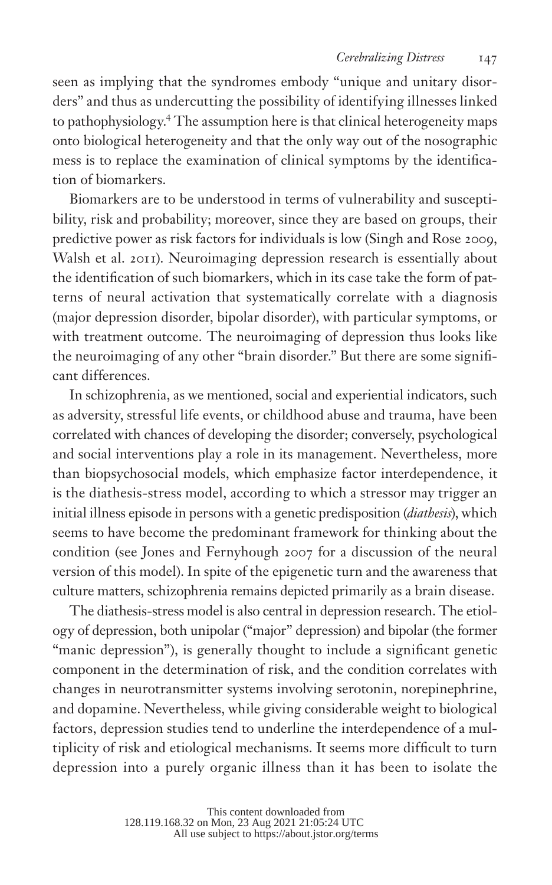seen as implying that the syndromes embody "unique and unitary disorders" and thus as undercutting the possibility of identifying illnesses linked to pathophysiology.4 The assumption here is that clinical heterogeneity maps onto biological heterogeneity and that the only way out of the nosographic mess is to replace the examination of clinical symptoms by the identification of biomarkers.

Biomarkers are to be understood in terms of vulnerability and susceptibility, risk and probability; moreover, since they are based on groups, their predictive power as risk factors for individuals is low (Singh and Rose 2009, Walsh et al. 2011). Neuroimaging depression research is essentially about the identification of such biomarkers, which in its case take the form of patterns of neural activation that systematically correlate with a diagnosis (major depression disorder, bipolar disorder), with particular symptoms, or with treatment outcome. The neuroimaging of depression thus looks like the neuroimaging of any other "brain disorder." But there are some significant differences.

In schizophrenia, as we mentioned, social and experiential indicators, such as adversity, stressful life events, or childhood abuse and trauma, have been correlated with chances of developing the disorder; conversely, psychological and social interventions play a role in its management. Nevertheless, more than biopsychosocial models, which emphasize factor interdependence, it is the diathesis- stress model, according to which a stressor may trigger an initial illness episode in persons with a genetic predisposition *(diathesis)*, which seems to have become the predominant framework for thinking about the condition (see Jones and Fernyhough 2007 for a discussion of the neural version of this model). In spite of the epigenetic turn and the awareness that culture matters, schizophrenia remains depicted primarily as a brain disease.

The diathesis- stress model is also central in depression research. The etiology of depression, both unipolar ("major" depression) and bipolar (the former "manic depression"), is generally thought to include a significant genetic component in the determination of risk, and the condition correlates with changes in neurotransmitter systems involving serotonin, norepinephrine, and dopamine. Nevertheless, while giving considerable weight to biological factors, depression studies tend to underline the interdependence of a multiplicity of risk and etiological mechanisms. It seems more difficult to turn depression into a purely organic illness than it has been to isolate the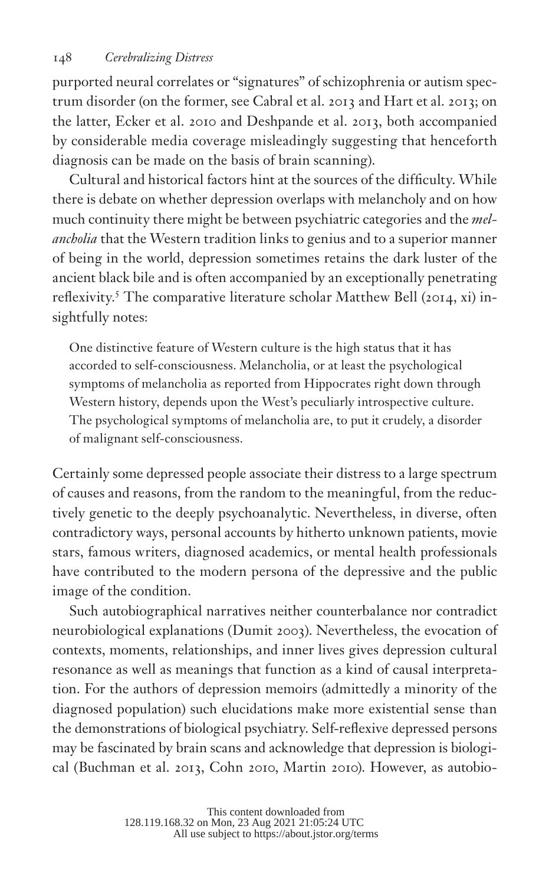purported neural correlates or "signatures" of schizophrenia or autism spectrum disorder (on the former, see Cabral et al. 2013 and Hart et al. 2013; on the latter, Ecker et al. 2010 and Deshpande et al. 2013, both accompanied by considerable media coverage misleadingly suggesting that henceforth diagnosis can be made on the basis of brain scanning).

Cultural and historical factors hint at the sources of the difficulty. While there is debate on whether depression overlaps with melancholy and on how much continuity there might be between psychiatric categories and the *melancholia* that the Western tradition links to genius and to a superior manner of being in the world, depression sometimes retains the dark luster of the ancient black bile and is often accompanied by an exceptionally penetrating reflexivity.<sup>5</sup> The comparative literature scholar Matthew Bell (2014, xi) insightfully notes:

One distinctive feature of Western culture is the high status that it has accorded to self- consciousness. Melancholia, or at least the psychological symptoms of melancholia as reported from Hippocrates right down through Western history, depends upon the West's peculiarly introspective culture. The psychological symptoms of melancholia are, to put it crudely, a disorder of malignant self-consciousness.

Certainly some depressed people associate their distress to a large spectrum of causes and reasons, from the random to the meaningful, from the reductively genetic to the deeply psychoanalytic. Nevertheless, in diverse, often contradictory ways, personal accounts by hitherto unknown patients, movie stars, famous writers, diagnosed academics, or mental health professionals have contributed to the modern persona of the depressive and the public image of the condition.

Such autobiographical narratives neither counterbalance nor contradict neurobiological explanations (Dumit 2003). Nevertheless, the evocation of contexts, moments, relationships, and inner lives gives depression cultural resonance as well as meanings that function as a kind of causal interpretation. For the authors of depression memoirs (admittedly a minority of the diagnosed population) such elucidations make more existential sense than the demonstrations of biological psychiatry. Self-reflexive depressed persons may be fascinated by brain scans and acknowledge that depression is biological (Buchman et al. 2013, Cohn 2010, Martin 2010). However, as autobio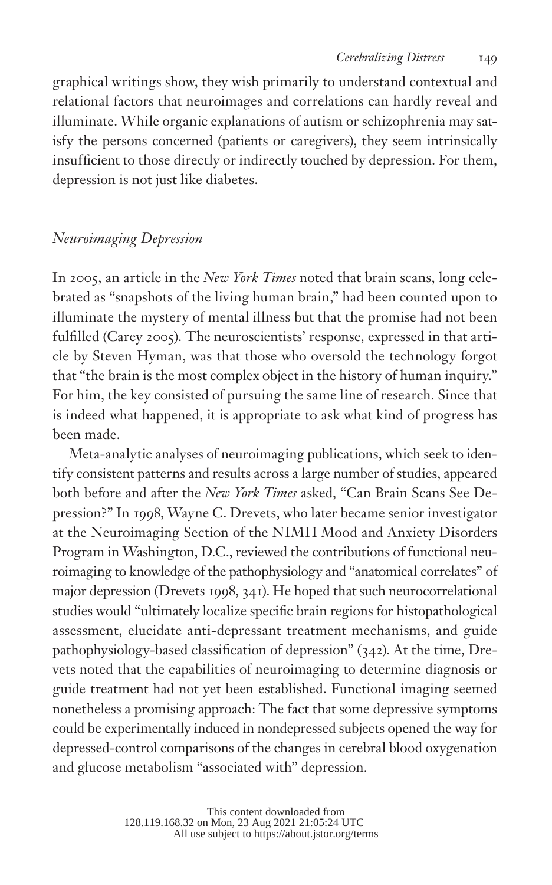graphical writings show, they wish primarily to understand contextual and relational factors that neuroimages and correlations can hardly reveal and illuminate. While organic explanations of autism or schizophrenia may satisfy the persons concerned (patients or caregivers), they seem intrinsically insufficient to those directly or indirectly touched by depression. For them, depression is not just like diabetes.

#### *Neuroimaging Depression*

In 2005, an article in the *New York Times* noted that brain scans, long celebrated as "snapshots of the living human brain," had been counted upon to illuminate the mystery of mental illness but that the promise had not been fulfilled (Carey 2005). The neuroscientists' response, expressed in that article by Steven Hyman, was that those who oversold the technology forgot that "the brain is the most complex object in the history of human inquiry." For him, the key consisted of pursuing the same line of research. Since that is indeed what happened, it is appropriate to ask what kind of progress has been made.

Meta- analytic analyses of neuroimaging publications, which seek to identify consistent patterns and results across a large number of studies, appeared both before and after the *New York Times* asked, "Can Brain Scans See Depression?" In 1998, Wayne C. Drevets, who later became senior investigator at the Neuroimaging Section of the NIMH Mood and Anxiety Disorders Program in Washington, D.C., reviewed the contributions of functional neuroimaging to knowledge of the pathophysiology and "anatomical correlates" of major depression (Drevets 1998, 341). He hoped that such neurocorrelational studies would "ultimately localize specific brain regions for histopathological assessment, elucidate anti- depressant treatment mechanisms, and guide pathophysiology- based classification of depression" (342). At the time, Drevets noted that the capabilities of neuroimaging to determine diagnosis or guide treatment had not yet been established. Functional imaging seemed nonetheless a promising approach: The fact that some depressive symptoms could be experimentally induced in nondepressed subjects opened the way for depressed-control comparisons of the changes in cerebral blood oxygenation and glucose metabolism "associated with" depression.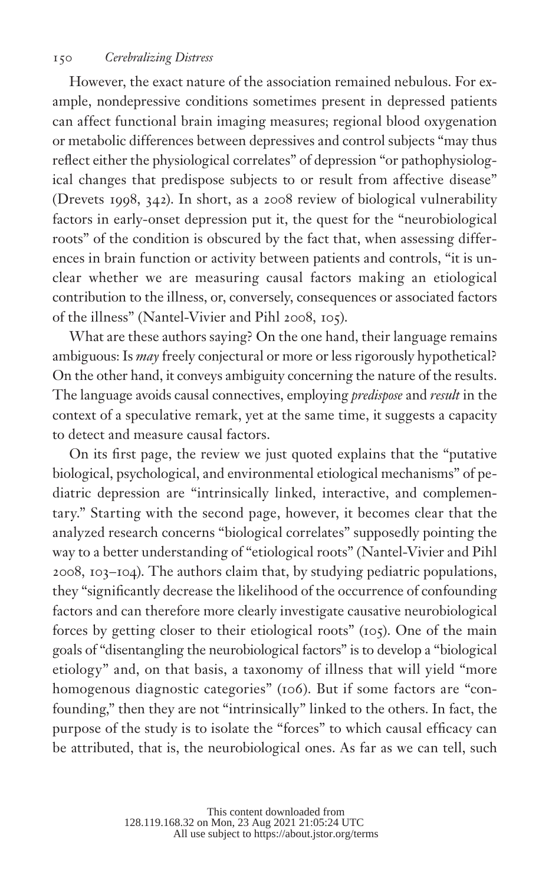#### 150 *Ce re bralizing Distress*

However, the exact nature of the association remained nebulous. For example, nondepressive conditions sometimes present in depressed patients can affect functional brain imaging measures; regional blood oxygenation or metabolic differences between depressives and control subjects "may thus reflect either the physiological correlates" of depression "or pathophysiological changes that predispose subjects to or result from affective disease" (Drevets 1998, 342). In short, as a 2008 review of biological vulnerability factors in early- onset depression put it, the quest for the "neurobiological roots" of the condition is obscured by the fact that, when assessing differences in brain function or activity between patients and controls, "it is unclear whether we are measuring causal factors making an etiological contribution to the illness, or, conversely, consequences or associated factors of the illness" (Nantel-Vivier and Pihl 2008, 105).

What are these authors saying? On the one hand, their language remains ambiguous: Is *may* freely conjectural or more or less rigorously hypothetical? On the other hand, it conveys ambiguity concerning the nature of the results. The language avoids causal connectives, employing *predispose* and *result* in the context of a speculative remark, yet at the same time, it suggests a capacity to detect and measure causal factors.

On its first page, the review we just quoted explains that the "putative biological, psychological, and environmental etiological mechanisms" of pediatric depression are "intrinsically linked, interactive, and complementary." Starting with the second page, however, it becomes clear that the analyzed research concerns "biological correlates" supposedly pointing the way to a better understanding of "etiological roots" (Nantel-Vivier and Pihl 2008, 103–104). The authors claim that, by studying pediatric populations, they "significantly decrease the likelihood of the occurrence of confounding factors and can therefore more clearly investigate causative neurobiological forces by getting closer to their etiological roots" (105). One of the main goals of "disentangling the neurobiological factors" is to develop a "biological etiology" and, on that basis, a taxonomy of illness that will yield "more homogenous diagnostic categories" (106). But if some factors are "confounding," then they are not "intrinsically" linked to the others. In fact, the purpose of the study is to isolate the "forces" to which causal efficacy can be attributed, that is, the neurobiological ones. As far as we can tell, such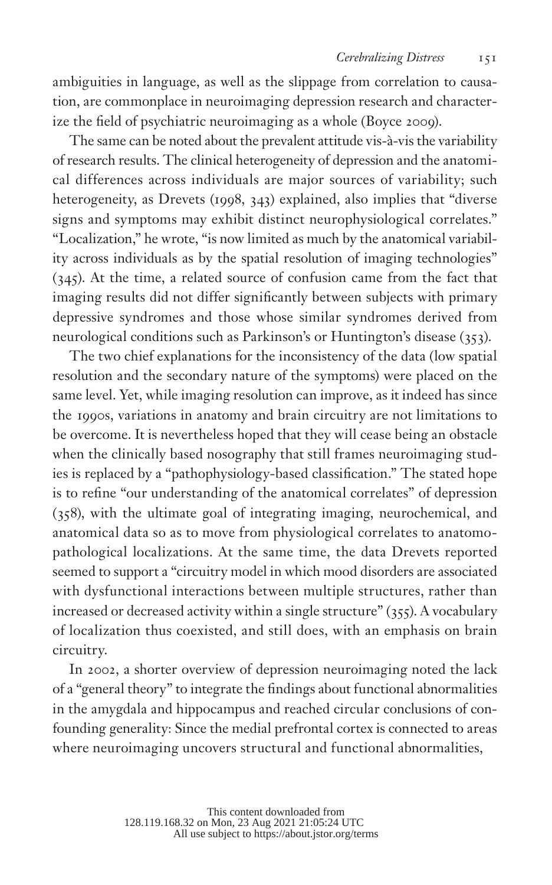ambiguities in language, as well as the slippage from correlation to causation, are commonplace in neuroimaging depression research and characterize the field of psychiatric neuroimaging as a whole (Boyce 2009).

The same can be noted about the prevalent attitude vis-à-vis the variability of research results. The clinical heterogeneity of depression and the anatomical differences across individuals are major sources of variability; such heterogeneity, as Drevets (1998, 343) explained, also implies that "diverse signs and symptoms may exhibit distinct neurophysiological correlates." "Localization," he wrote, "is now limited as much by the anatomical variability across individuals as by the spatial resolution of imaging technologies" (345). At the time, a related source of confusion came from the fact that imaging results did not differ significantly between subjects with primary depressive syndromes and those whose similar syndromes derived from neurological conditions such as Parkinson's or Huntington's disease (353).

The two chief explanations for the inconsistency of the data (low spatial resolution and the secondary nature of the symptoms) were placed on the same level. Yet, while imaging resolution can improve, as it indeed has since the 1990s, variations in anatomy and brain circuitry are not limitations to be overcome. It is nevertheless hoped that they will cease being an obstacle when the clinically based nosography that still frames neuroimaging studies is replaced by a "pathophysiology- based classification." The stated hope is to refine "our understanding of the anatomical correlates" of depression (358), with the ultimate goal of integrating imaging, neurochemical, and anatomical data so as to move from physiological correlates to anatomopathological localizations. At the same time, the data Drevets reported seemed to support a "circuitry model in which mood disorders are associated with dysfunctional interactions between multiple structures, rather than increased or decreased activity within a single structure" (355). A vocabulary of localization thus coexisted, and still does, with an emphasis on brain circuitry.

In 2002, a shorter overview of depression neuroimaging noted the lack of a "general theory" to integrate the findings about functional abnormalities in the amygdala and hippocampus and reached circular conclusions of confounding generality: Since the medial prefrontal cortex is connected to areas where neuroimaging uncovers structural and functional abnormalities,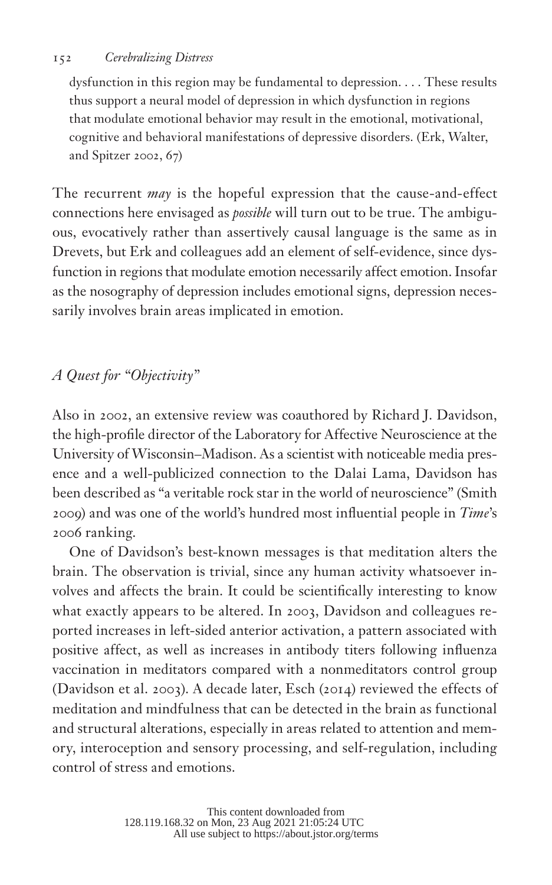#### 152 *Ce re bralizing Distress*

dysfunction in this region may be fundamental to depression. . . . These results thus support a neural model of depression in which dysfunction in regions that modulate emotional behavior may result in the emotional, motivational, cognitive and behavioral manifestations of depressive disorders. (Erk, Walter, and Spitzer 2002, 67)

The recurrent *may* is the hopeful expression that the cause-and-effect connections here envisaged as *possible* will turn out to be true. The ambiguous, evocatively rather than assertively causal language is the same as in Drevets, but Erk and colleagues add an element of self-evidence, since dysfunction in regions that modulate emotion necessarily affect emotion. Insofar as the nosography of depression includes emotional signs, depression necessarily involves brain areas implicated in emotion.

# *A Quest for "Objectivity"*

Also in 2002, an extensive review was coauthored by Richard J. Davidson, the high- profile director of the Laboratory for Affective Neuroscience at the University of Wisconsin–Madison. As a scientist with noticeable media presence and a well-publicized connection to the Dalai Lama, Davidson has been described as "a veritable rock star in the world of neuroscience" (Smith 2009) and was one of the world's hundred most influential people in *Time*'s 2006 ranking.

One of Davidson's best- known messages is that meditation alters the brain. The observation is trivial, since any human activity whatsoever involves and affects the brain. It could be scientifically interesting to know what exactly appears to be altered. In 2003, Davidson and colleagues reported increases in left- sided anterior activation, a pattern associated with positive affect, as well as increases in antibody titers following influenza vaccination in meditators compared with a nonmeditators control group (Davidson et al. 2003). A decade later, Esch (2014) reviewed the effects of meditation and mindfulness that can be detected in the brain as functional and structural alterations, especially in areas related to attention and memory, interoception and sensory processing, and self-regulation, including control of stress and emotions.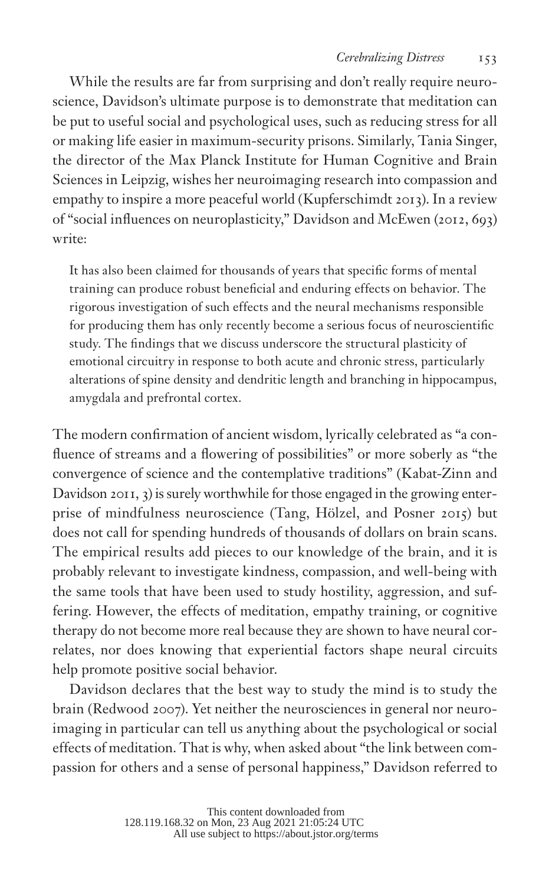While the results are far from surprising and don't really require neuroscience, Davidson's ultimate purpose is to demonstrate that meditation can be put to useful social and psychological uses, such as reducing stress for all or making life easier in maximum- security prisons. Similarly, Tania Singer, the director of the Max Planck Institute for Human Cognitive and Brain Sciences in Leipzig, wishes her neuroimaging research into compassion and empathy to inspire a more peaceful world (Kupferschimdt 2013). In a review of "social influences on neuroplasticity," Davidson and McEwen (2012, 693) write:

It has also been claimed for thousands of years that specific forms of mental training can produce robust beneficial and enduring effects on behavior. The rigorous investigation of such effects and the neural mechanisms responsible for producing them has only recently become a serious focus of neuroscientific study. The findings that we discuss underscore the structural plasticity of emotional circuitry in response to both acute and chronic stress, particularly alterations of spine density and dendritic length and branching in hippocampus, amygdala and prefrontal cortex.

The modern confirmation of ancient wisdom, lyrically celebrated as "a confluence of streams and a flowering of possibilities" or more soberly as "the convergence of science and the contemplative traditions" (Kabat-Zinn and Davidson 2011, 3) is surely worthwhile for those engaged in the growing enterprise of mindfulness neuroscience (Tang, Hölzel, and Posner 2015) but does not call for spending hundreds of thousands of dollars on brain scans. The empirical results add pieces to our knowledge of the brain, and it is probably relevant to investigate kindness, compassion, and well-being with the same tools that have been used to study hostility, aggression, and suffering. However, the effects of meditation, empathy training, or cognitive therapy do not become more real because they are shown to have neural correlates, nor does knowing that experiential factors shape neural circuits help promote positive social behavior.

Davidson declares that the best way to study the mind is to study the brain (Redwood 2007). Yet neither the neurosciences in general nor neuroimaging in particular can tell us anything about the psychological or social effects of meditation. That is why, when asked about "the link between compassion for others and a sense of personal happiness," Davidson referred to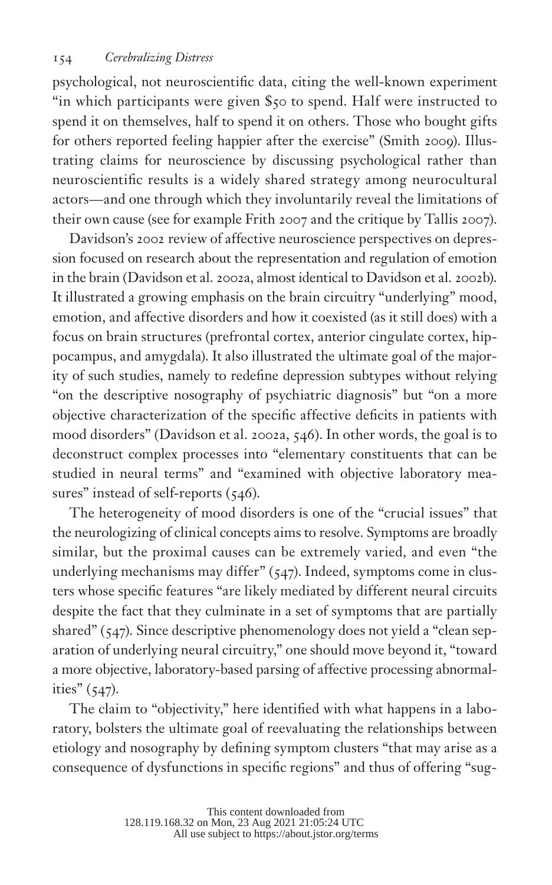psychological, not neuroscientific data, citing the well-known experiment "in which participants were given \$50 to spend. Half were instructed to spend it on themselves, half to spend it on others. Those who bought gifts for others reported feeling happier after the exercise" (Smith 2009). Illustrating claims for neuroscience by discussing psychological rather than neuroscientific results is a widely shared strategy among neurocultural actors— and one through which they involuntarily reveal the limitations of their own cause (see for example Frith 2007 and the critique by Tallis 2007).

Davidson's 2002 review of affective neuroscience perspectives on depression focused on research about the representation and regulation of emotion in the brain (Davidson et al. 2002a, almost identical to Davidson et al. 2002b). It illustrated a growing emphasis on the brain circuitry "underlying" mood, emotion, and affective disorders and how it coexisted (as it still does) with a focus on brain structures (prefrontal cortex, anterior cingulate cortex, hippocampus, and amygdala). It also illustrated the ultimate goal of the majority of such studies, namely to redefine depression subtypes without relying "on the descriptive nosography of psychiatric diagnosis" but "on a more objective characterization of the specific affective deficits in patients with mood disorders" (Davidson et al. 2002a, 546). In other words, the goal is to deconstruct complex processes into "elementary constituents that can be studied in neural terms" and "examined with objective laboratory measures" instead of self-reports  $(546)$ .

The heterogeneity of mood disorders is one of the "crucial issues" that the neurologizing of clinical concepts aims to resolve. Symptoms are broadly similar, but the proximal causes can be extremely varied, and even "the underlying mechanisms may differ"  $(547)$ . Indeed, symptoms come in clusters whose specific features "are likely mediated by different neural circuits despite the fact that they culminate in a set of symptoms that are partially shared" (547). Since descriptive phenomenology does not yield a "clean separation of underlying neural circuitry," one should move beyond it, "toward a more objective, laboratory-based parsing of affective processing abnormalities" (547).

The claim to "objectivity," here identified with what happens in a laboratory, bolsters the ultimate goal of reevaluating the relationships between etiology and nosography by defining symptom clusters "that may arise as a consequence of dysfunctions in specific regions" and thus of offering "sug-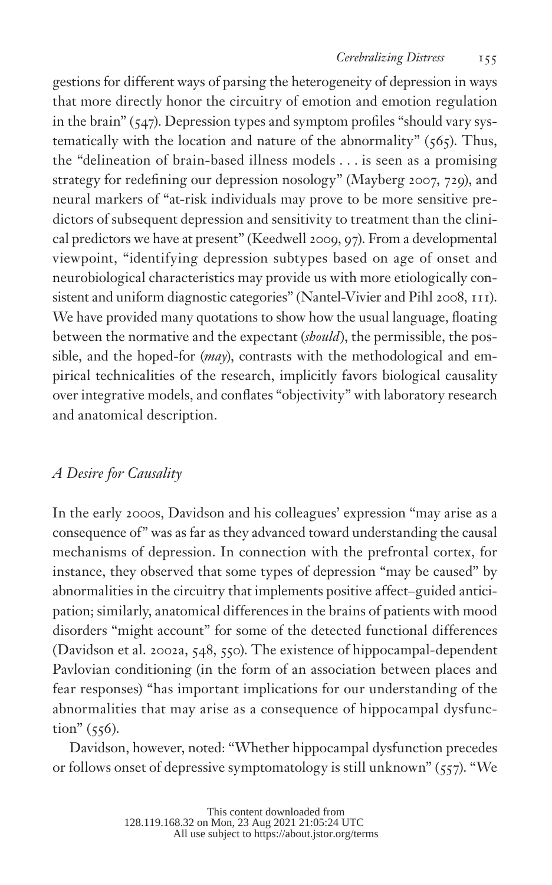gestions for different ways of parsing the heterogeneity of depression in ways that more directly honor the circuitry of emotion and emotion regulation in the brain" (547). Depression types and symptom profiles "should vary systematically with the location and nature of the abnormality"  $(565)$ . Thus, the "delineation of brain- based illness models . . . is seen as a promising strategy for redefining our depression nosology" (Mayberg 2007, 729), and neural markers of "at-risk individuals may prove to be more sensitive predictors of subsequent depression and sensitivity to treatment than the clinical predictors we have at present" (Keedwell 2009, 97). From a developmental viewpoint, "identifying depression subtypes based on age of onset and neurobiological characteristics may provide us with more etiologically consistent and uniform diagnostic categories" (Nantel-Vivier and Pihl 2008, 111). We have provided many quotations to show how the usual language, floating between the normative and the expectant (*should*), the permissible, the possible, and the hoped-for (*may*), contrasts with the methodological and empirical technicalities of the research, implicitly favors biological causality over integrative models, and conflates "objectivity" with laboratory research and anatomical description.

# *A Desire for Causality*

In the early 2000s, Davidson and his colleagues' expression "may arise as a consequence of" was as far as they advanced toward understanding the causal mechanisms of depression. In connection with the prefrontal cortex, for instance, they observed that some types of depression "may be caused" by abnormalities in the circuitry that implements positive affect-guided anticipation; similarly, anatomical differences in the brains of patients with mood disorders "might account" for some of the detected functional differences (Davidson et al. 2002a, 548, 550). The existence of hippocampal- dependent Pavlovian conditioning (in the form of an association between places and fear responses) "has important implications for our understanding of the abnormalities that may arise as a consequence of hippocampal dysfunction" (556).

Davidson, however, noted: " Whether hippocampal dysfunction precedes or follows onset of depressive symptomatology is still unknown" (557). "We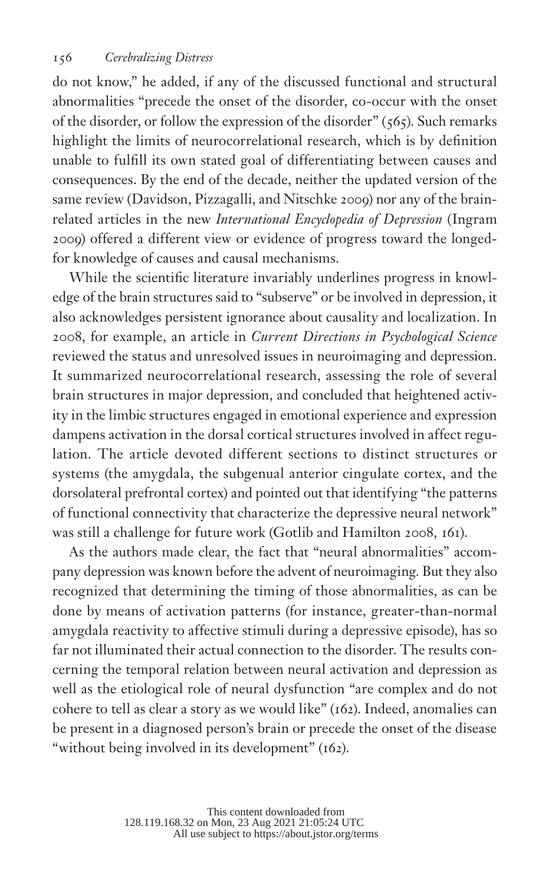do not know," he added, if any of the discussed functional and structural abnormalities "precede the onset of the disorder, co- occur with the onset of the disorder, or follow the expression of the disorder"  $(565)$ . Such remarks highlight the limits of neurocorrelational research, which is by definition unable to fulfill its own stated goal of differentiating between causes and consequences. By the end of the decade, neither the updated version of the same review (Davidson, Pizzagalli, and Nitschke 2009) nor any of the brainrelated articles in the new *International Encyclopedia of Depression* (Ingram 2009) offered a different view or evidence of progress toward the longedfor knowledge of causes and causal mechanisms.

While the scientific literature invariably underlines progress in knowledge of the brain structures said to "subserve" or be involved in depression, it also acknowledges persistent ignorance about causality and localization. In 2008, for example, an article in *Current Directions in Psychological Science* reviewed the status and unresolved issues in neuroimaging and depression. It summarized neurocorrelational research, assessing the role of several brain structures in major depression, and concluded that heightened activity in the limbic structures engaged in emotional experience and expression dampens activation in the dorsal cortical structures involved in affect regulation. The article devoted different sections to distinct structures or systems (the amygdala, the subgenual anterior cingulate cortex, and the dorsolateral prefrontal cortex) and pointed out that identifying "the patterns of functional connectivity that characterize the depressive neural network" was still a challenge for future work (Gotlib and Hamilton 2008, 161).

As the authors made clear, the fact that "neural abnormalities" accompany depression was known before the advent of neuroimaging. But they also recognized that determining the timing of those abnormalities, as can be done by means of activation patterns (for instance, greater-than-normal amygdala reactivity to affective stimuli during a depressive episode), has so far not illuminated their actual connection to the disorder. The results concerning the temporal relation between neural activation and depression as well as the etiological role of neural dysfunction "are complex and do not cohere to tell as clear a story as we would like" (162). Indeed, anomalies can be present in a diagnosed person's brain or precede the onset of the disease "without being involved in its development" (162).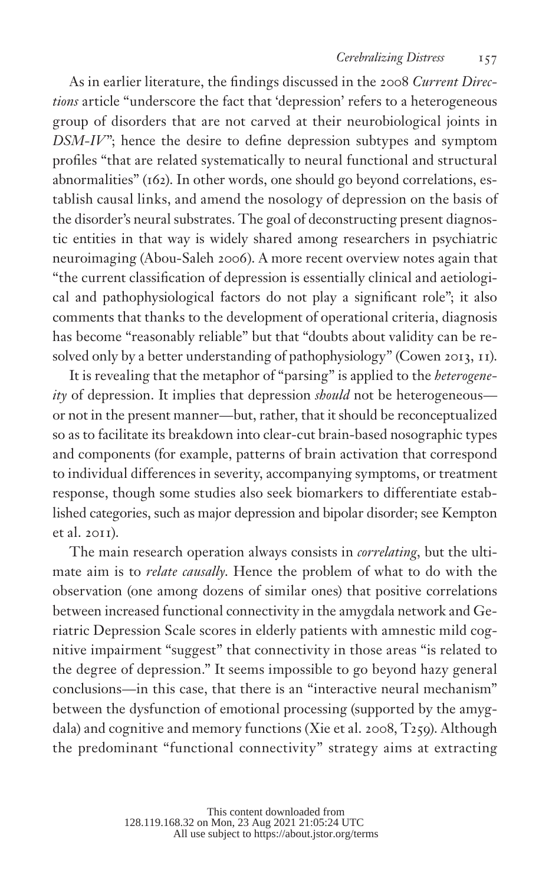As in earlier literature, the findings discussed in the 2008 Current Direc*tions* article "underscore the fact that 'depression' refers to a heterogeneous group of disorders that are not carved at their neurobiological joints in *DSM-IV*"; hence the desire to define depression subtypes and symptom profiles "that are related systematically to neural functional and structural abnormalities" (162). In other words, one should go beyond correlations, establish causal links, and amend the nosology of depression on the basis of the disorder's neural substrates. The goal of deconstructing present diagnostic entities in that way is widely shared among researchers in psychiatric neuroimaging (Abou-Saleh 2006). A more recent overview notes again that "the current classification of depression is essentially clinical and aetiological and pathophysiological factors do not play a significant role"; it also comments that thanks to the development of operational criteria, diagnosis has become "reasonably reliable" but that "doubts about validity can be resolved only by a better understanding of pathophysiology" (Cowen 2013, 11).

It is revealing that the metaphor of "parsing" is applied to the *heterogeneity* of depression. It implies that depression *should* not be heterogeneous or not in the present manner—but, rather, that it should be reconceptualized so as to facilitate its breakdown into clear- cut brain- based nosographic types and components (for example, patterns of brain activation that correspond to individual differences in severity, accompanying symptoms, or treatment response, though some studies also seek biomarkers to differentiate established categories, such as major depression and bipolar disorder; see Kempton et al. 2011).

The main research operation always consists in *correlating*, but the ultimate aim is to *relate causally*. Hence the problem of what to do with the observation (one among dozens of similar ones) that positive correlations between increased functional connectivity in the amygdala network and Geriatric Depression Scale scores in elderly patients with amnestic mild cognitive impairment "suggest" that connectivity in those areas "is related to the degree of depression." It seems impossible to go beyond hazy general conclusions—in this case, that there is an "interactive neural mechanism" between the dysfunction of emotional processing (supported by the amygdala) and cognitive and memory functions (Xie et al. 2008, T259). Although the predominant "functional connectivity" strategy aims at extracting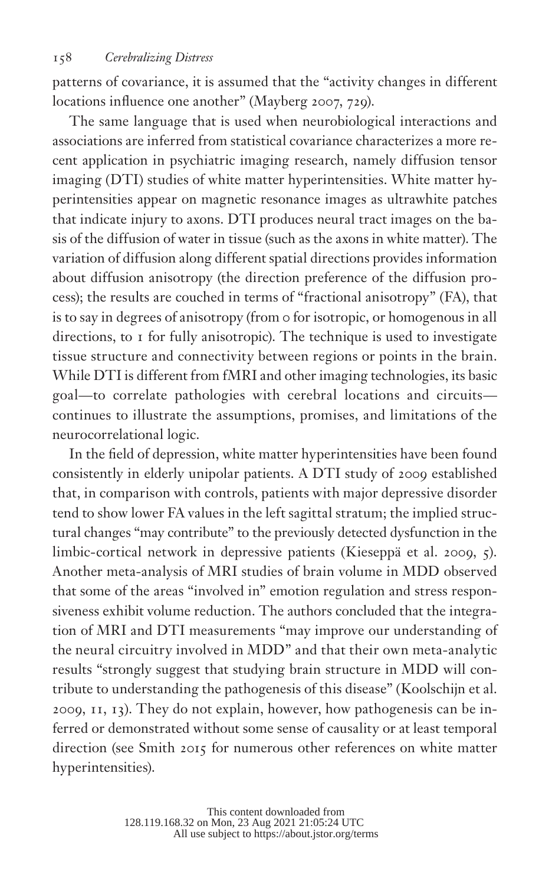patterns of covariance, it is assumed that the "activity changes in different locations influence one another" (Mayberg 2007, 729).

The same language that is used when neurobiological interactions and associations are inferred from statistical covariance characterizes a more recent application in psychiatric imaging research, namely diffusion tensor imaging (DTI) studies of white matter hyperintensities. White matter hyperintensities appear on magnetic resonance images as ultrawhite patches that indicate injury to axons. DTI produces neural tract images on the basis of the diffusion of water in tissue (such as the axons in white matter). The variation of diffusion along different spatial directions provides information about diffusion anisotropy (the direction preference of the diffusion process); the results are couched in terms of "fractional anisotropy" (FA), that is to say in degrees of anisotropy (from 0 for isotropic, or homogenous in all directions, to 1 for fully anisotropic). The technique is used to investigate tissue structure and connectivity between regions or points in the brain. While DTI is different from fMRI and other imaging technologies, its basic goal—to correlate pathologies with cerebral locations and circuits continues to illustrate the assumptions, promises, and limitations of the neurocorrelational logic.

In the field of depression, white matter hyperintensities have been found consistently in elderly unipolar patients. A DTI study of 2009 established that, in comparison with controls, patients with major depressive disorder tend to show lower FA values in the left sagittal stratum; the implied structural changes "may contribute" to the previously detected dysfunction in the limbic-cortical network in depressive patients (Kieseppä et al. 2009, 5). Another meta-analysis of MRI studies of brain volume in MDD observed that some of the areas "involved in" emotion regulation and stress responsiveness exhibit volume reduction. The authors concluded that the integration of MRI and DTI measurements "may improve our understanding of the neural circuitry involved in MDD" and that their own meta-analytic results "strongly suggest that studying brain structure in MDD will contribute to understanding the pathogenesis of this disease" (Koolschijn et al. 2009, 11, 13). They do not explain, however, how pathogenesis can be inferred or demonstrated without some sense of causality or at least temporal direction (see Smith 2015 for numerous other references on white matter hyperintensities).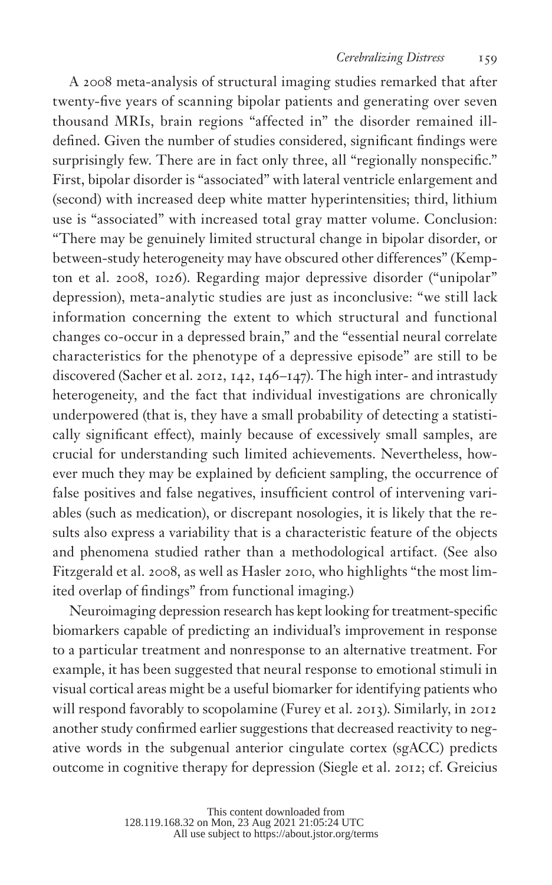A 2008 meta-analysis of structural imaging studies remarked that after twenty-five years of scanning bipolar patients and generating over seven thousand MRIs, brain regions "affected in" the disorder remained illdefined. Given the number of studies considered, significant findings were surprisingly few. There are in fact only three, all "regionally nonspecific." First, bipolar disorder is "associated" with lateral ventricle enlargement and (second) with increased deep white matter hyperintensities; third, lithium use is "associated" with increased total gray matter volume. Conclusion: " There may be genuinely limited structural change in bipolar disorder, or between- study heterogeneity may have obscured other differences" (Kempton et al. 2008, 1026). Regarding major depressive disorder ("unipolar" depression), meta- analytic studies are just as inconclusive: "we still lack information concerning the extent to which structural and functional changes co- occur in a depressed brain," and the "essential neural correlate characteristics for the phenotype of a depressive episode" are still to be discovered (Sacher et al. 2012, 142, 146–147). The high inter-and intrastudy heterogeneity, and the fact that individual investigations are chronically underpowered (that is, they have a small probability of detecting a statistically significant effect), mainly because of excessively small samples, are crucial for understanding such limited achievements. Nevertheless, however much they may be explained by deficient sampling, the occurrence of false positives and false negatives, insufficient control of intervening variables (such as medication), or discrepant nosologies, it is likely that the results also express a variability that is a characteristic feature of the objects and phenomena studied rather than a methodological artifact. (See also Fitzgerald et al. 2008, as well as Hasler 2010, who highlights "the most limited overlap of findings" from functional imaging.)

Neuroimaging depression research has kept looking for treatment- specific biomarkers capable of predicting an individual's improvement in response to a particular treatment and nonresponse to an alternative treatment. For example, it has been suggested that neural response to emotional stimuli in visual cortical areas might be a useful biomarker for identifying patients who will respond favorably to scopolamine (Furey et al. 2013). Similarly, in 2012 another study confirmed earlier suggestions that decreased reactivity to negative words in the subgenual anterior cingulate cortex (sgACC) predicts outcome in cognitive therapy for depression (Siegle et al. 2012; cf. Greicius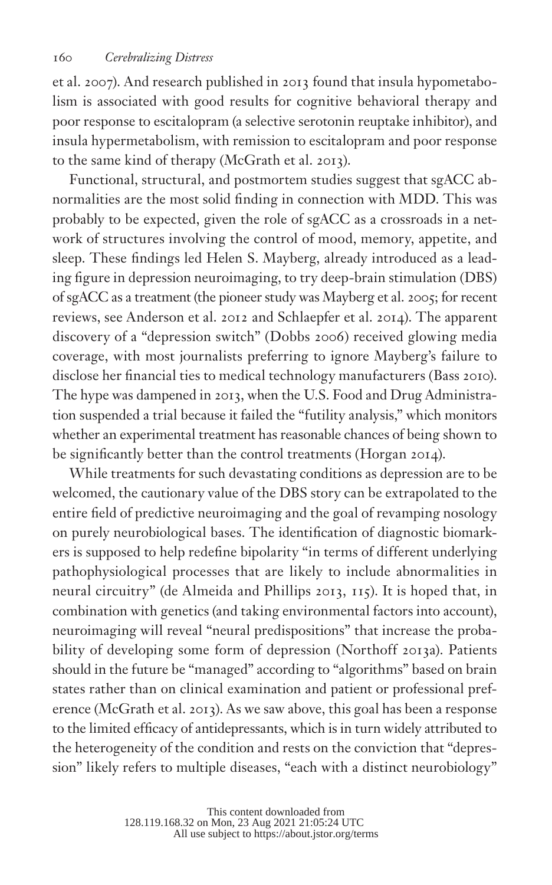et al. 2007). And research published in 2013 found that insula hypometabolism is associated with good results for cognitive behavioral therapy and poor response to escitalopram (a selective serotonin reuptake inhibitor), and insula hypermetabolism, with remission to escitalopram and poor response to the same kind of therapy (McGrath et al. 2013).

Functional, structural, and postmortem studies suggest that sgACC abnormalities are the most solid finding in connection with MDD. This was probably to be expected, given the role of sgACC as a crossroads in a network of structures involving the control of mood, memory, appetite, and sleep. These findings led Helen S. Mayberg, already introduced as a leading figure in depression neuroimaging, to try deep-brain stimulation (DBS) of sgACC as a treatment (the pioneer study was Mayberg et al. 2005; for recent reviews, see Anderson et al. 2012 and Schlaepfer et al. 2014). The apparent discovery of a "depression switch" (Dobbs 2006) received glowing media coverage, with most journalists preferring to ignore Mayberg's failure to disclose her financial ties to medical technology manufacturers (Bass 2010). The hype was dampened in 2013, when the U.S. Food and Drug Administration suspended a trial because it failed the "futility analysis," which monitors whether an experimental treatment has reasonable chances of being shown to be significantly better than the control treatments (Horgan 2014).

While treatments for such devastating conditions as depression are to be welcomed, the cautionary value of the DBS story can be extrapolated to the entire field of predictive neuroimaging and the goal of revamping nosology on purely neurobiological bases. The identification of diagnostic biomarkers is supposed to help redefine bipolarity "in terms of different underlying pathophysiological processes that are likely to include abnormalities in neural circuitry" (de Almeida and Phillips 2013, 115). It is hoped that, in combination with genetics (and taking environmental factors into account), neuroimaging will reveal "neural predispositions" that increase the probability of developing some form of depression (Northoff 2013a). Patients should in the future be "managed" according to "algorithms" based on brain states rather than on clinical examination and patient or professional preference (McGrath et al. 2013). As we saw above, this goal has been a response to the limited efficacy of antidepressants, which is in turn widely attributed to the heterogeneity of the condition and rests on the conviction that "depression" likely refers to multiple diseases, "each with a distinct neurobiology"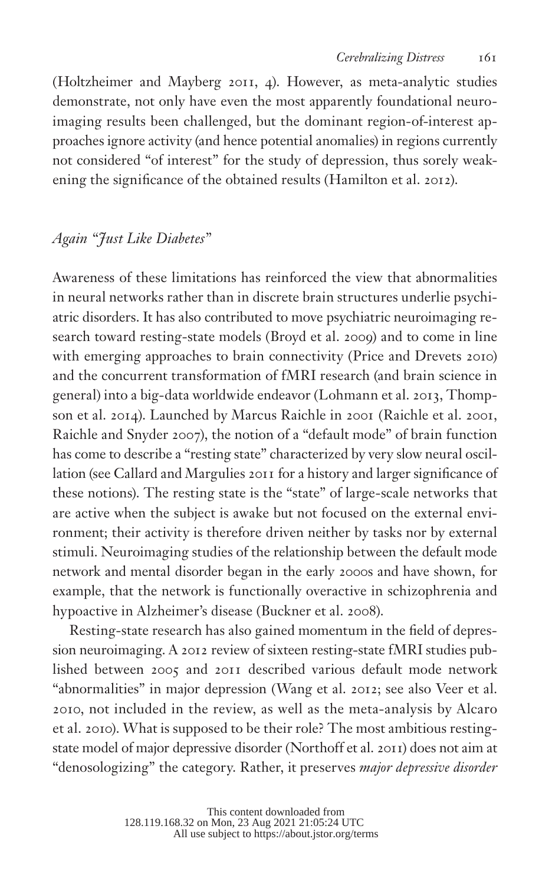(Holtzheimer and Mayberg 2011, 4). However, as meta-analytic studies demonstrate, not only have even the most apparently foundational neuroimaging results been challenged, but the dominant region-of-interest approaches ignore activity (and hence potential anomalies) in regions currently not considered "of interest" for the study of depression, thus sorely weakening the significance of the obtained results (Hamilton et al. 2012).

# *Again "Just Like Diabetes"*

Awareness of these limitations has reinforced the view that abnormalities in neural networks rather than in discrete brain structures underlie psychiatric disorders. It has also contributed to move psychiatric neuroimaging research toward resting-state models (Broyd et al. 2009) and to come in line with emerging approaches to brain connectivity (Price and Drevets 2010) and the concurrent transformation of fMRI research (and brain science in general) into a big- data worldwide endeavor (Lohmann et al. 2013, Thompson et al. 2014). Launched by Marcus Raichle in 2001 (Raichle et al. 2001, Raichle and Snyder 2007), the notion of a "default mode" of brain function has come to describe a "resting state" characterized by very slow neural oscillation (see Callard and Margulies 2011 for a history and larger significance of these notions). The resting state is the "state" of large- scale networks that are active when the subject is awake but not focused on the external environment; their activity is therefore driven neither by tasks nor by external stimuli. Neuroimaging studies of the relationship between the default mode network and mental disorder began in the early 2000s and have shown, for example, that the network is functionally overactive in schizophrenia and hypoactive in Alzheimer's disease (Buckner et al. 2008).

Resting- state research has also gained momentum in the field of depression neuroimaging. A 2012 review of sixteen resting- state fMRI studies published between 2005 and 2011 described various default mode network "abnormalities" in major depression (Wang et al. 2012; see also Veer et al. 2010, not included in the review, as well as the meta-analysis by Alcaro et al. 2010). What is supposed to be their role? The most ambitious restingstate model of major depressive disorder (Northoff et al. 2011) does not aim at "denosologizing" the category. Rather, it preserves *major depressive disorder*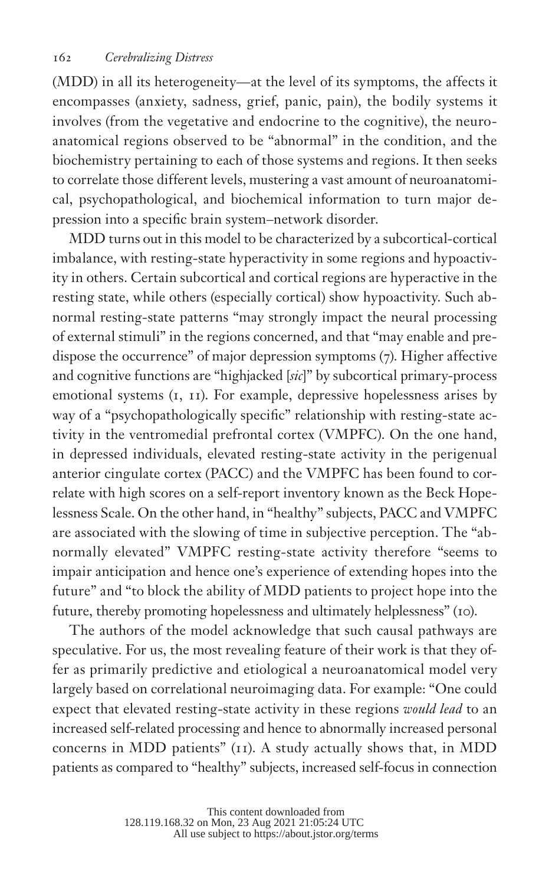(MDD) in all its heterogeneity—at the level of its symptoms, the affects it encompasses (anxiety, sadness, grief, panic, pain), the bodily systems it involves (from the vegetative and endocrine to the cognitive), the neuroanatomical regions observed to be "abnormal" in the condition, and the biochemistry pertaining to each of those systems and regions. It then seeks to correlate those different levels, mustering a vast amount of neuroanatomical, psychopathological, and biochemical information to turn major depression into a specific brain system– network disorder.

MDD turns out in this model to be characterized by a subcortical- cortical imbalance, with resting- state hyperactivity in some regions and hypoactivity in others. Certain subcortical and cortical regions are hyperactive in the resting state, while others (especially cortical) show hypoactivity. Such abnormal resting-state patterns "may strongly impact the neural processing of external stimuli" in the regions concerned, and that "may enable and predispose the occurrence" of major depression symptoms (7). Higher affective and cognitive functions are "highjacked [sic]" by subcortical primary-process emotional systems (1, 11). For example, depressive hopelessness arises by way of a "psychopathologically specific" relationship with resting-state activity in the ventromedial prefrontal cortex (VMPFC). On the one hand, in depressed individuals, elevated resting- state activity in the perigenual anterior cingulate cortex (PACC) and the VMPFC has been found to correlate with high scores on a self-report inventory known as the Beck Hopelessness Scale. On the other hand, in "healthy" subjects, PACC and VMPFC are associated with the slowing of time in subjective perception. The "abnormally elevated" VMPFC resting-state activity therefore "seems to impair anticipation and hence one's experience of extending hopes into the future" and "to block the ability of MDD patients to project hope into the future, thereby promoting hopelessness and ultimately helplessness" (10).

The authors of the model acknowledge that such causal pathways are speculative. For us, the most revealing feature of their work is that they offer as primarily predictive and etiological a neuroanatomical model very largely based on correlational neuroimaging data. For example: "One could expect that elevated resting- state activity in these regions *would lead* to an increased self-related processing and hence to abnormally increased personal concerns in MDD patients" (11). A study actually shows that, in MDD patients as compared to "healthy" subjects, increased self-focus in connection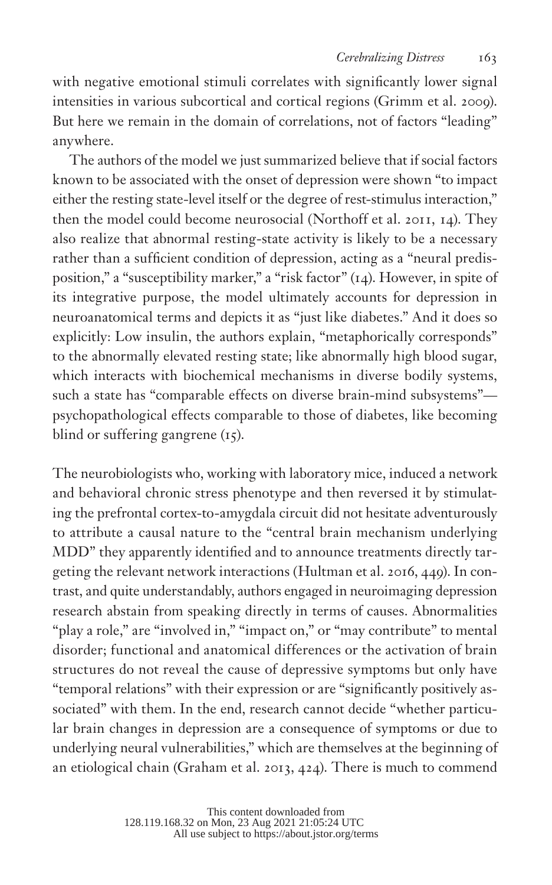with negative emotional stimuli correlates with significantly lower signal intensities in various subcortical and cortical regions (Grimm et al. 2009). But here we remain in the domain of correlations, not of factors "leading" anywhere.

The authors of the model we just summarized believe that if social factors known to be associated with the onset of depression were shown "to impact either the resting state- level itself or the degree of rest- stimulus interaction," then the model could become neurosocial (Northoff et al. 2011, 14). They also realize that abnormal resting-state activity is likely to be a necessary rather than a sufficient condition of depression, acting as a "neural predisposition," a "susceptibility marker," a "risk factor" (14). However, in spite of its integrative purpose, the model ultimately accounts for depression in neuroanatomical terms and depicts it as "just like diabetes." And it does so explicitly: Low insulin, the authors explain, "metaphorically corresponds" to the abnormally elevated resting state; like abnormally high blood sugar, which interacts with biochemical mechanisms in diverse bodily systems, such a state has "comparable effects on diverse brain-mind subsystems"psychopathological effects comparable to those of diabetes, like becoming blind or suffering gangrene (15).

The neurobiologists who, working with laboratory mice, induced a network and behavioral chronic stress phenotype and then reversed it by stimulating the prefrontal cortex-to-amygdala circuit did not hesitate adventurously to attribute a causal nature to the "central brain mechanism underlying MDD" they apparently identified and to announce treatments directly targeting the relevant network interactions (Hultman et al. 2016, 449). In contrast, and quite understandably, authors engaged in neuroimaging depression research abstain from speaking directly in terms of causes. Abnormalities "play a role," are "involved in," "impact on," or "may contribute" to mental disorder; functional and anatomical differences or the activation of brain structures do not reveal the cause of depressive symptoms but only have "temporal relations" with their expression or are "significantly positively associated" with them. In the end, research cannot decide "whether particular brain changes in depression are a consequence of symptoms or due to underlying neural vulnerabilities," which are themselves at the beginning of an etiological chain (Graham et al. 2013, 424). There is much to commend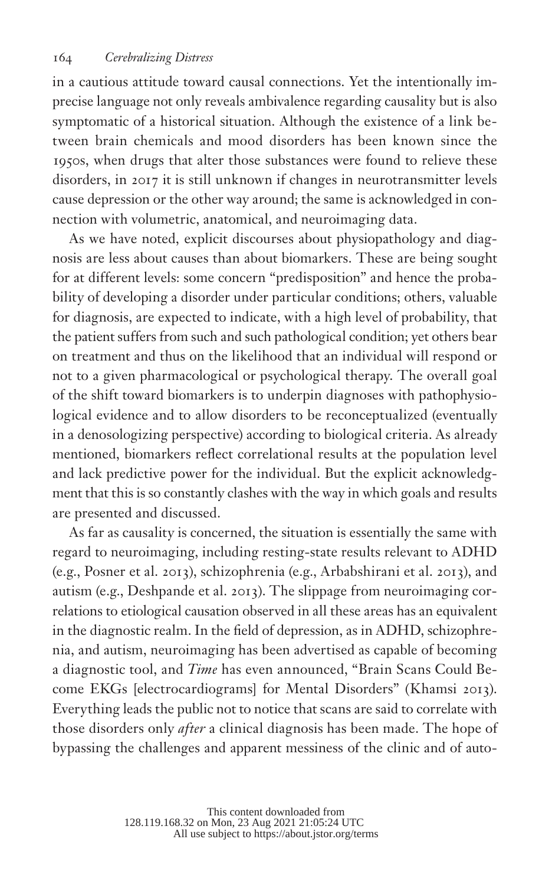in a cautious attitude toward causal connections. Yet the intentionally imprecise language not only reveals ambivalence regarding causality but is also symptomatic of a historical situation. Although the existence of a link between brain chemicals and mood disorders has been known since the 1950s, when drugs that alter those substances were found to relieve these disorders, in 2017 it is still unknown if changes in neurotransmitter levels cause depression or the other way around; the same is acknowledged in connection with volumetric, anatomical, and neuroimaging data.

As we have noted, explicit discourses about physiopathology and diagnosis are less about causes than about biomarkers. These are being sought for at different levels: some concern "predisposition" and hence the probability of developing a disorder under particular conditions; others, valuable for diagnosis, are expected to indicate, with a high level of probability, that the patient suffers from such and such pathological condition; yet others bear on treatment and thus on the likelihood that an individual will respond or not to a given pharmacological or psychological therapy. The overall goal of the shift toward biomarkers is to underpin diagnoses with pathophysiological evidence and to allow disorders to be reconceptualized (eventually in a denosologizing perspective) according to biological criteria. As already mentioned, biomarkers reflect correlational results at the population level and lack predictive power for the individual. But the explicit acknowledgment that this is so constantly clashes with the way in which goals and results are presented and discussed.

As far as causality is concerned, the situation is essentially the same with regard to neuroimaging, including resting- state results relevant to ADHD (e.g., Posner et al. 2013), schizo phre nia (e.g., Arbabshirani et al. 2013), and autism (e.g., Deshpande et al. 2013). The slippage from neuroimaging correlations to etiological causation observed in all these areas has an equivalent in the diagnostic realm. In the field of depression, as in ADHD, schizophrenia, and autism, neuroimaging has been advertised as capable of becoming a diagnostic tool, and *Time* has even announced, "Brain Scans Could Become EKGs [electrocardiograms] for Mental Disorders" (Khamsi 2013). Every thing leads the public not to notice that scans are said to correlate with those disorders only *after* a clinical diagnosis has been made. The hope of bypassing the challenges and apparent messiness of the clinic and of auto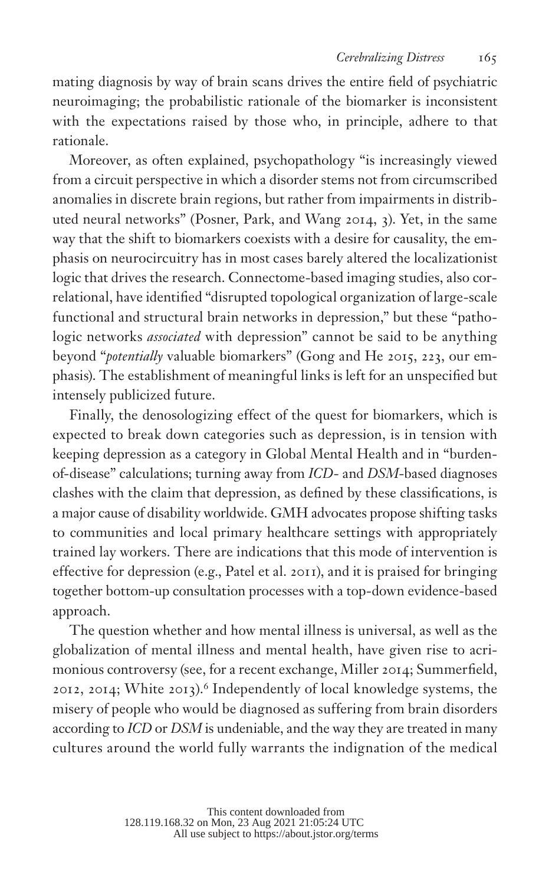mating diagnosis by way of brain scans drives the entire field of psychiatric neuroimaging; the probabilistic rationale of the biomarker is inconsistent with the expectations raised by those who, in principle, adhere to that rationale.

Moreover, as often explained, psychopathology "is increasingly viewed from a circuit perspective in which a disorder stems not from circumscribed anomalies in discrete brain regions, but rather from impairments in distributed neural networks" (Posner, Park, and Wang 2014, 3). Yet, in the same way that the shift to biomarkers coexists with a desire for causality, the emphasis on neurocircuitry has in most cases barely altered the localizationist logic that drives the research. Connectome- based imaging studies, also correlational, have identified "disrupted topological organization of large-scale functional and structural brain networks in depression," but these "pathologic networks *associated* with depression" cannot be said to be anything beyond "*potentially* valuable biomarkers" (Gong and He 2015, 223, our emphasis). The establishment of meaningful links is left for an unspecified but intensely publicized future.

Finally, the denosologizing effect of the quest for biomarkers, which is expected to break down categories such as depression, is in tension with keeping depression as a category in Global Mental Health and in "burdenof- disease" calculations; turning away from *ICD*-and *DSM*- based diagnoses clashes with the claim that depression, as defined by these classifications, is a major cause of disability worldwide. GMH advocates propose shifting tasks to communities and local primary healthcare settings with appropriately trained lay workers. There are indications that this mode of intervention is effective for depression (e.g., Patel et al. 2011), and it is praised for bringing together bottom-up consultation processes with a top-down evidence-based approach.

The question whether and how mental illness is universal, as well as the globalization of mental illness and mental health, have given rise to acrimonious controversy (see, for a recent exchange, Miller 2014; Summerfield,  $2012$ ,  $2014$ ; White  $2013$ ).<sup>6</sup> Independently of local knowledge systems, the misery of people who would be diagnosed as suffering from brain disorders according to *ICD* or *DSM* is undeniable, and the way they are treated in many cultures around the world fully warrants the indignation of the medical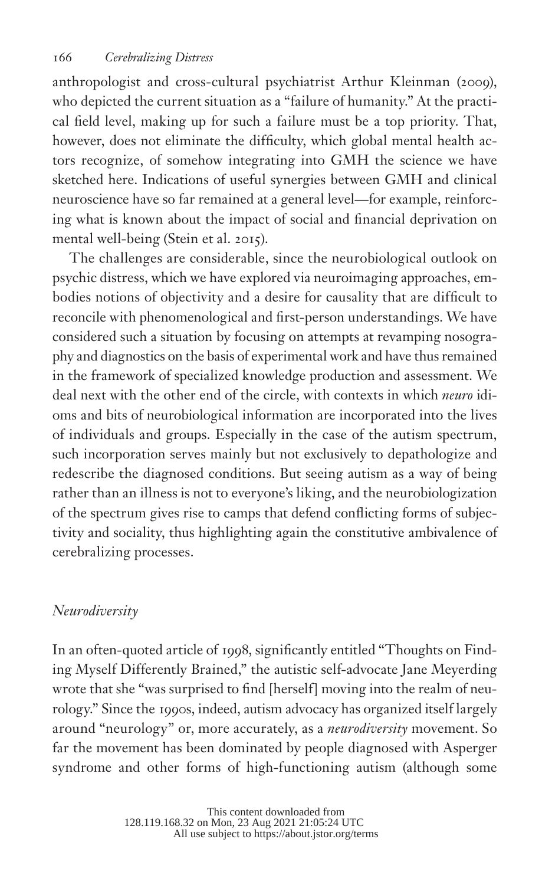anthropologist and cross- cultural psychiatrist Arthur Kleinman (2009), who depicted the current situation as a "failure of humanity." At the practical field level, making up for such a failure must be a top priority. That, however, does not eliminate the difficulty, which global mental health actors recognize, of somehow integrating into GMH the science we have sketched here. Indications of useful synergies between GMH and clinical neuroscience have so far remained at a general level— for example, reinforcing what is known about the impact of social and financial deprivation on mental well-being (Stein et al. 2015).

The challenges are considerable, since the neurobiological outlook on psychic distress, which we have explored via neuroimaging approaches, embodies notions of objectivity and a desire for causality that are difficult to reconcile with phenomenological and first- person understandings. We have considered such a situation by focusing on attempts at revamping nosography and diagnostics on the basis of experimental work and have thus remained in the framework of specialized knowledge production and assessment. We deal next with the other end of the circle, with contexts in which *neuro* idioms and bits of neurobiological information are incorporated into the lives of individuals and groups. Especially in the case of the autism spectrum, such incorporation serves mainly but not exclusively to depathologize and redescribe the diagnosed conditions. But seeing autism as a way of being rather than an illness is not to everyone's liking, and the neurobiologization of the spectrum gives rise to camps that defend conflicting forms of subjectivity and sociality, thus highlighting again the constitutive ambivalence of cerebralizing processes.

## *Neurodiversity*

In an often- quoted article of 1998, significantly entitled "Thoughts on Finding Myself Differently Brained," the autistic self- advocate Jane Meyerding wrote that she "was surprised to find [herself] moving into the realm of neurology." Since the 1990s, indeed, autism advocacy has organized itself largely around "neurology" or, more accurately, as a *neurodiversity* movement. So far the movement has been dominated by people diagnosed with Asperger syndrome and other forms of high-functioning autism (although some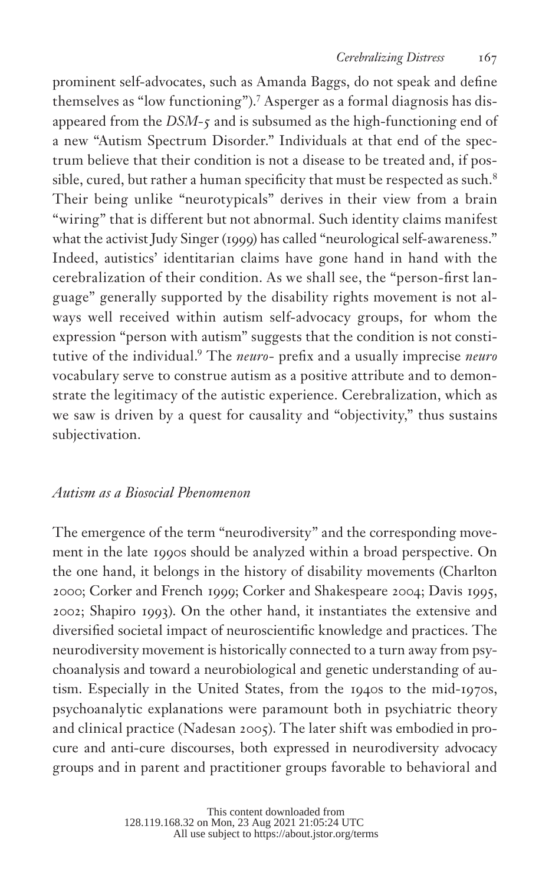prominent self-advocates, such as Amanda Baggs, do not speak and define themselves as "low functioning").7 Asperger as a formal diagnosis has disappeared from the *DSM-5* and is subsumed as the high-functioning end of a new "Autism Spectrum Disorder." Individuals at that end of the spectrum believe that their condition is not a disease to be treated and, if possible, cured, but rather a human specificity that must be respected as such.<sup>8</sup> Their being unlike "neurotypicals" derives in their view from a brain "wiring" that is different but not abnormal. Such identity claims manifest what the activist Judy Singer (1999) has called "neurological self-awareness." Indeed, autistics' identitarian claims have gone hand in hand with the cerebralization of their condition. As we shall see, the "person-first language" generally supported by the disability rights movement is not always well received within autism self-advocacy groups, for whom the expression "person with autism" suggests that the condition is not constitutive of the individual.9 The *neuro-* prefix and a usually imprecise *neuro* vocabulary serve to construe autism as a positive attribute and to demonstrate the legitimacy of the autistic experience. Cerebralization, which as we saw is driven by a quest for causality and "objectivity," thus sustains subjectivation.

## *Autism as a Biosocial Phenomenon*

The emergence of the term "neurodiversity" and the corresponding movement in the late 1990s should be analyzed within a broad perspective. On the one hand, it belongs in the history of disability movements (Charlton 2000; Corker and French 1999; Corker and Shakespeare 2004; Davis 1995, 2002; Shapiro 1993). On the other hand, it instantiates the extensive and diversified societal impact of neuroscientific knowledge and practices. The neurodiversity movement is historically connected to a turn away from psychoanalysis and toward a neurobiological and genetic understanding of autism. Especially in the United States, from the 1940s to the mid-1970s, psychoanalytic explanations were paramount both in psychiatric theory and clinical practice (Nadesan 2005). The later shift was embodied in procure and anti-cure discourses, both expressed in neurodiversity advocacy groups and in parent and practitioner groups favorable to behavioral and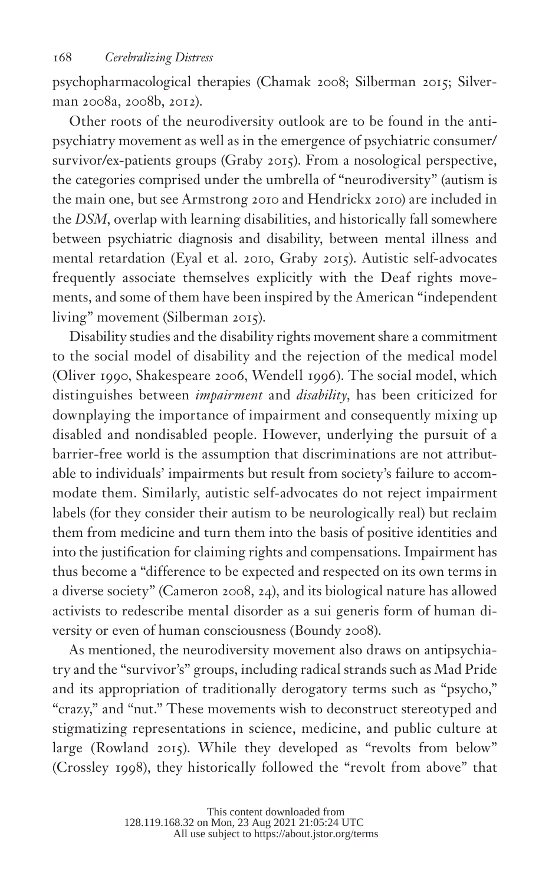psychopharmacological therapies (Chamak 2008; Silberman 2015; Silverman 2008a, 2008b, 2012).

Other roots of the neurodiversity outlook are to be found in the antipsychiatry movement as well as in the emergence of psychiatric consumer/ survivor/ex-patients groups (Graby 2015). From a nosological perspective, the categories comprised under the umbrella of "neurodiversity" (autism is the main one, but see Armstrong 2010 and Hendrickx 2010) are included in the *DSM*, overlap with learning disabilities, and historically fall somewhere between psychiatric diagnosis and disability, between mental illness and mental retardation (Eyal et al. 2010, Graby 2015). Autistic self-advocates frequently associate themselves explicitly with the Deaf rights movements, and some of them have been inspired by the American "independent" living" movement (Silberman 2015).

Disability studies and the disability rights movement share a commitment to the social model of disability and the rejection of the medical model (Oliver 1990, Shakespeare 2006, Wendell 1996). The social model, which distinguishes between *impairment* and *disability*, has been criticized for downplaying the importance of impairment and consequently mixing up disabled and nondisabled people. However, underlying the pursuit of a barrier- free world is the assumption that discriminations are not attributable to individuals' impairments but result from society's failure to accommodate them. Similarly, autistic self- advocates do not reject impairment labels (for they consider their autism to be neurologically real) but reclaim them from medicine and turn them into the basis of positive identities and into the justification for claiming rights and compensations. Impairment has thus become a "difference to be expected and respected on its own terms in a diverse society" (Cameron 2008, 24), and its biological nature has allowed activists to redescribe mental disorder as a sui generis form of human diversity or even of human consciousness (Boundy 2008).

As mentioned, the neurodiversity movement also draws on antipsychiatry and the "survivor's" groups, including radical strands such as Mad Pride and its appropriation of traditionally derogatory terms such as "psycho," "crazy," and "nut." These movements wish to deconstruct stereotyped and stigmatizing representations in science, medicine, and public culture at large (Rowland 2015). While they developed as "revolts from below" (Crossley 1998), they historically followed the "revolt from above" that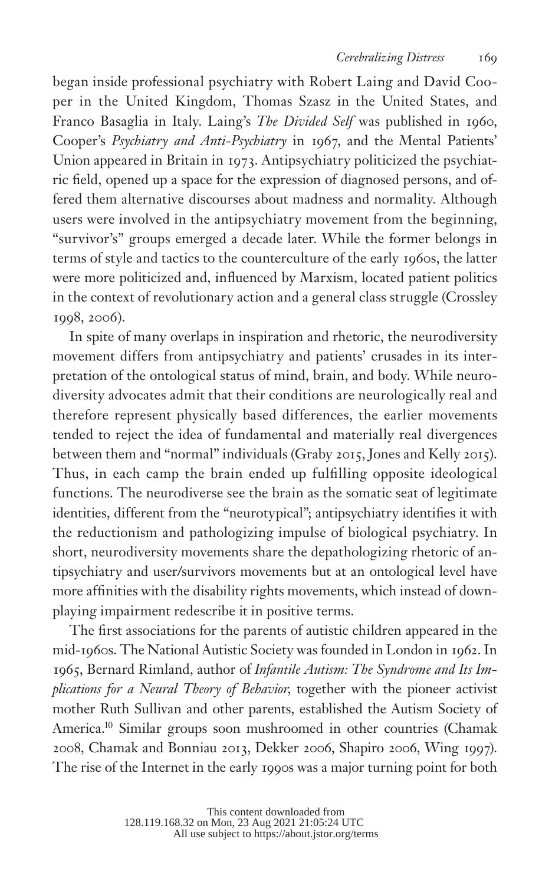began inside professional psychiatry with Robert Laing and David Cooper in the United Kingdom, Thomas Szasz in the United States, and Franco Basaglia in Italy. Laing's *The Divided Self* was published in 1960, Cooper's *Psychiatry and Anti- Psychiatry* in 1967, and the Mental Patients' Union appeared in Britain in 1973. Antipsychiatry politicized the psychiatric field, opened up a space for the expression of diagnosed persons, and offered them alternative discourses about madness and normality. Although users were involved in the antipsychiatry movement from the beginning, "survivor's" groups emerged a decade later. While the former belongs in terms of style and tactics to the counterculture of the early 1960s, the latter were more politicized and, influenced by Marxism, located patient politics in the context of revolutionary action and a general class struggle (Crossley 1998, 2006).

In spite of many overlaps in inspiration and rhetoric, the neurodiversity movement differs from antipsychiatry and patients' crusades in its interpretation of the ontological status of mind, brain, and body. While neurodiversity advocates admit that their conditions are neurologically real and therefore represent physically based differences, the earlier movements tended to reject the idea of fundamental and materially real divergences between them and "normal" individuals (Graby 2015, Jones and Kelly 2015). Thus, in each camp the brain ended up fulfilling opposite ideological functions. The neurodiverse see the brain as the somatic seat of legitimate identities, different from the "neurotypical"; antipsychiatry identifies it with the reductionism and pathologizing impulse of biological psychiatry. In short, neurodiversity movements share the depathologizing rhetoric of antipsychiatry and user/survivors movements but at an ontological level have more affinities with the disability rights movements, which instead of downplaying impairment redescribe it in positive terms.

The first associations for the parents of autistic children appeared in the mid-1960s. The National Autistic Society was founded in London in 1962. In 1965, Bernard Rimland, author of *Infantile Autism: The Syndrome and Its Implications for a Neural Theory of Behavior*, together with the pioneer activist mother Ruth Sullivan and other parents, established the Autism Society of America.<sup>10</sup> Similar groups soon mushroomed in other countries (Chamak 2008, Chamak and Bonniau 2013, Dekker 2006, Shapiro 2006, Wing 1997). The rise of the Internet in the early 1990s was a major turning point for both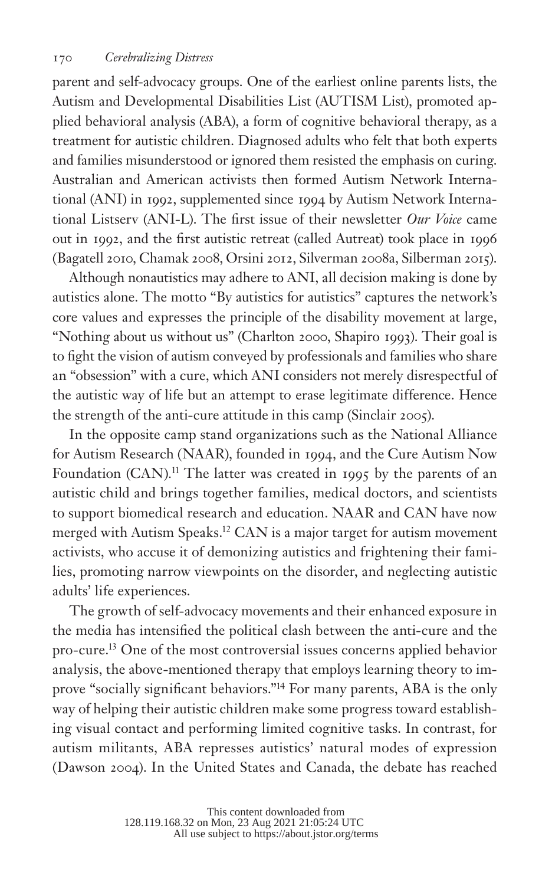parent and self-advocacy groups. One of the earliest online parents lists, the Autism and Developmental Disabilities List (AUTISM List), promoted applied behavioral analysis (ABA), a form of cognitive behavioral therapy, as a treatment for autistic children. Diagnosed adults who felt that both experts and families misunderstood or ignored them resisted the emphasis on curing. Australian and American activists then formed Autism Network International (ANI) in 1992, supplemented since 1994 by Autism Network International Listserv (ANI-L). The first issue of their newsletter Our Voice came out in 1992, and the first autistic retreat (called Autreat) took place in 1996 (Bagatell 2010, Chamak 2008, Orsini 2012, Silverman 2008a, Silberman 2015).

Although nonautistics may adhere to ANI, all decision making is done by autistics alone. The motto "By autistics for autistics" captures the network's core values and expresses the principle of the disability movement at large, "Nothing about us without us" (Charlton 2000, Shapiro 1993). Their goal is to fight the vision of autism conveyed by professionals and families who share an "obsession" with a cure, which ANI considers not merely disrespectful of the autistic way of life but an attempt to erase legitimate difference. Hence the strength of the anti-cure attitude in this camp (Sinclair 2005).

In the opposite camp stand organizations such as the National Alliance for Autism Research (NAAR), founded in 1994, and the Cure Autism Now Foundation (CAN).<sup>11</sup> The latter was created in 1995 by the parents of an autistic child and brings together families, medical doctors, and scientists to support biomedical research and education. NAAR and CAN have now merged with Autism Speaks.12 CAN is a major target for autism movement activists, who accuse it of demonizing autistics and frightening their families, promoting narrow viewpoints on the disorder, and neglecting autistic adults' life experiences.

The growth of self-advocacy movements and their enhanced exposure in the media has intensified the political clash between the anti-cure and the pro-cure.<sup>13</sup> One of the most controversial issues concerns applied behavior analysis, the above-mentioned therapy that employs learning theory to improve "socially significant behaviors."<sup>14</sup> For many parents, ABA is the only way of helping their autistic children make some progress toward establishing visual contact and performing limited cognitive tasks. In contrast, for autism militants, ABA represses autistics' natural modes of expression (Dawson 2004). In the United States and Canada, the debate has reached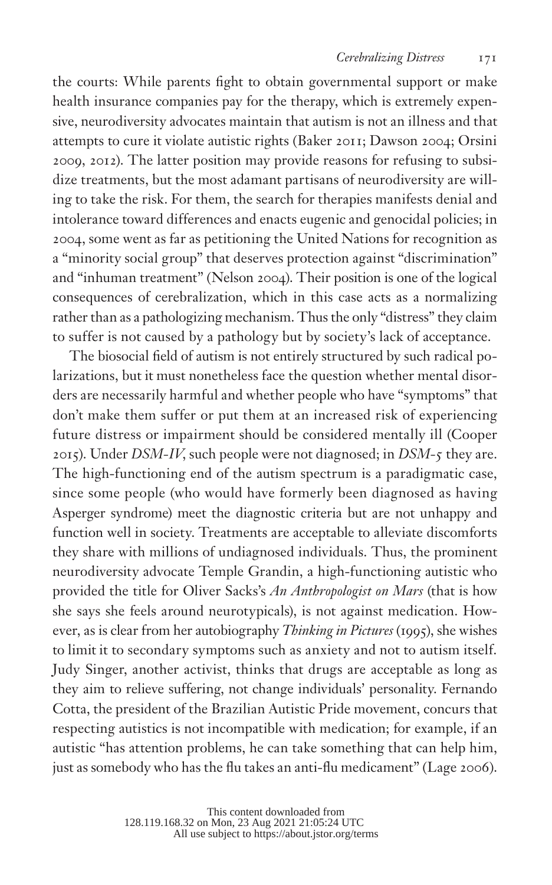the courts: While parents fight to obtain governmental support or make health insurance companies pay for the therapy, which is extremely expensive, neurodiversity advocates maintain that autism is not an illness and that attempts to cure it violate autistic rights (Baker 2011; Dawson 2004; Orsini 2009, 2012). The latter position may provide reasons for refusing to subsidize treatments, but the most adamant partisans of neurodiversity are willing to take the risk. For them, the search for therapies manifests denial and intolerance toward differences and enacts eugenic and genocidal policies; in 2004, some went as far as petitioning the United Nations for recognition as a "minority social group" that deserves protection against "discrimination" and "inhuman treatment" (Nelson 2004). Their position is one of the logical consequences of cerebralization, which in this case acts as a normalizing rather than as a pathologizing mechanism. Thus the only "distress" they claim to suffer is not caused by a pathology but by society's lack of acceptance.

The biosocial field of autism is not entirely structured by such radical polarizations, but it must nonetheless face the question whether mental disorders are necessarily harmful and whether people who have "symptoms" that don't make them suffer or put them at an increased risk of experiencing future distress or impairment should be considered mentally ill (Cooper 2015). Under *DSM- IV*, such people were not diagnosed; in *DSM-5* they are. The high-functioning end of the autism spectrum is a paradigmatic case, since some people (who would have formerly been diagnosed as having Asperger syndrome) meet the diagnostic criteria but are not unhappy and function well in society. Treatments are acceptable to alleviate discomforts they share with millions of undiagnosed individuals. Thus, the prominent neurodiversity advocate Temple Grandin, a high-functioning autistic who provided the title for Oliver Sacks's *An Anthropologist on Mars* (that is how she says she feels around neurotypicals), is not against medication. However, as is clear from her autobiography *Thinking in Pictures* (1995), she wishes to limit it to secondary symptoms such as anxiety and not to autism itself. Judy Singer, another activist, thinks that drugs are acceptable as long as they aim to relieve suffering, not change individuals' personality. Fernando Cotta, the president of the Brazilian Autistic Pride movement, concurs that respecting autistics is not incompatible with medication; for example, if an autistic "has attention problems, he can take something that can help him, just as somebody who has the flu takes an anti-flu medicament" (Lage 2006).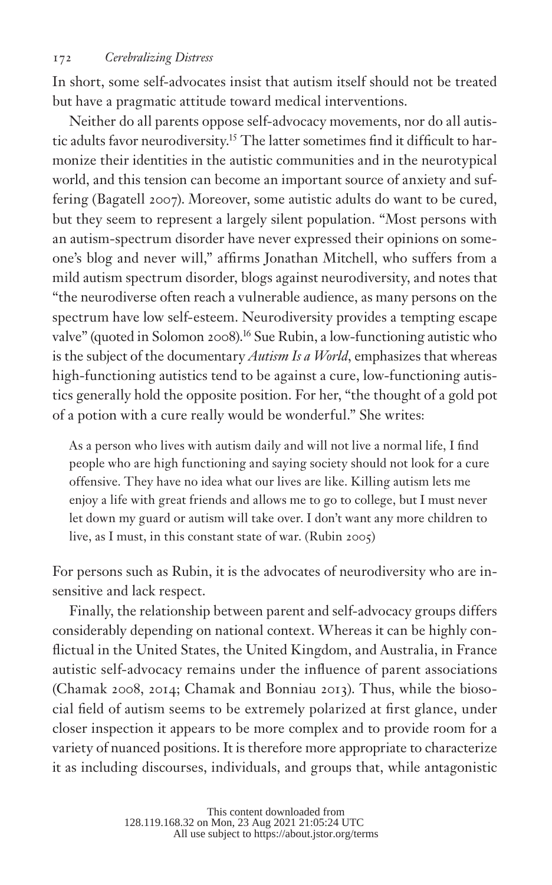In short, some self-advocates insist that autism itself should not be treated but have a pragmatic attitude toward medical interventions.

Neither do all parents oppose self- advocacy movements, nor do all autistic adults favor neurodiversity.15 The latter sometimes find it difficult to harmonize their identities in the autistic communities and in the neurotypical world, and this tension can become an important source of anxiety and suffering (Bagatell 2007). Moreover, some autistic adults do want to be cured, but they seem to represent a largely silent population. "Most persons with an autism- spectrum disorder have never expressed their opinions on someone's blog and never will," affirms Jonathan Mitchell, who suffers from a mild autism spectrum disorder, blogs against neurodiversity, and notes that "the neurodiverse often reach a vulnerable audience, as many persons on the spectrum have low self-esteem. Neurodiversity provides a tempting escape valve" (quoted in Solomon 2008).16 Sue Rubin, a low- functioning autistic who is the subject of the documentary *Autism Is a World*, emphasizes that whereas high-functioning autistics tend to be against a cure, low-functioning autistics generally hold the opposite position. For her, "the thought of a gold pot of a potion with a cure really would be wonderful." She writes:

As a person who lives with autism daily and will not live a normal life, I find people who are high functioning and saying society should not look for a cure offensive. They have no idea what our lives are like. Killing autism lets me enjoy a life with great friends and allows me to go to college, but I must never let down my guard or autism will take over. I don't want any more children to live, as I must, in this constant state of war. (Rubin 2005)

For persons such as Rubin, it is the advocates of neurodiversity who are insensitive and lack respect.

Finally, the relationship between parent and self-advocacy groups differs considerably depending on national context. Whereas it can be highly conflictual in the United States, the United Kingdom, and Australia, in France autistic self- advocacy remains under the influence of parent associations (Chamak 2008, 2014; Chamak and Bonniau 2013). Thus, while the biosocial field of autism seems to be extremely polarized at first glance, under closer inspection it appears to be more complex and to provide room for a variety of nuanced positions. It is therefore more appropriate to characterize it as including discourses, individuals, and groups that, while antagonistic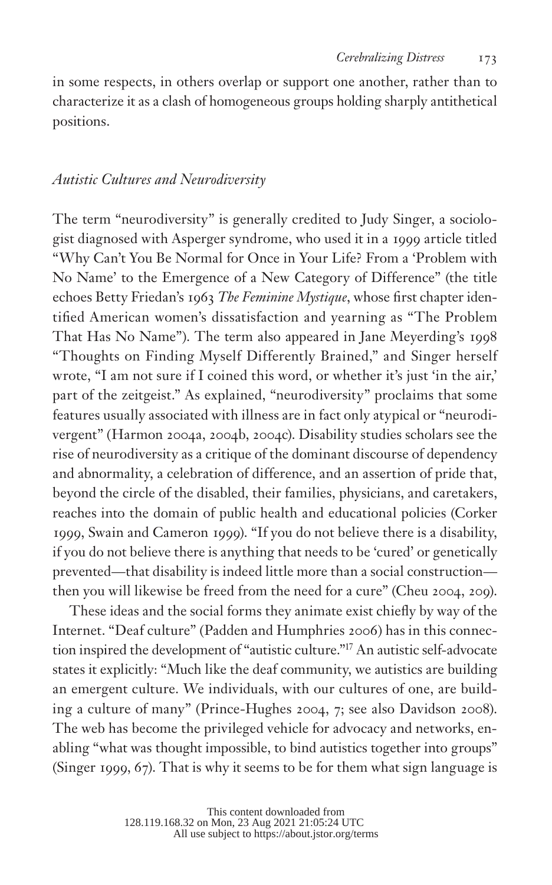in some respects, in others overlap or support one another, rather than to characterize it as a clash of homogeneous groups holding sharply antithetical positions.

## *Autistic Cultures and Neurodiversity*

The term "neurodiversity" is generally credited to Judy Singer, a sociologist diagnosed with Asperger syndrome, who used it in a 1999 article titled "Why Can't You Be Normal for Once in Your Life? From a 'Problem with No Name' to the Emergence of a New Category of Difference" (the title echoes Betty Friedan's 1963 *The Feminine Mystique*, whose first chapter identified American women's dissatisfaction and yearning as "The Problem That Has No Name"). The term also appeared in Jane Meyerding's 1998 "Thoughts on Finding Myself Differently Brained," and Singer herself wrote, "I am not sure if I coined this word, or whether it's just 'in the air,' part of the zeitgeist." As explained, "neurodiversity" proclaims that some features usually associated with illness are in fact only atypical or "neurodivergent" (Harmon 2004a, 2004b, 2004c). Disability studies scholars see the rise of neurodiversity as a critique of the dominant discourse of dependency and abnormality, a celebration of difference, and an assertion of pride that, beyond the circle of the disabled, their families, physicians, and caretakers, reaches into the domain of public health and educational policies (Corker 1999, Swain and Cameron 1999). "If you do not believe there is a disability, if you do not believe there is anything that needs to be 'cured' or genetically prevented— that disability is indeed little more than a social construction then you will likewise be freed from the need for a cure" (Cheu 2004, 209).

These ideas and the social forms they animate exist chiefly by way of the Internet. "Deaf culture" (Padden and Humphries 2006) has in this connection inspired the development of "autistic culture."17 An autistic self- advocate states it explicitly: "Much like the deaf community, we autistics are building an emergent culture. We individuals, with our cultures of one, are building a culture of many" (Prince-Hughes 2004, 7; see also Davidson 2008). The web has become the privileged vehicle for advocacy and networks, enabling "what was thought impossible, to bind autistics together into groups" (Singer 1999, 67). That is why it seems to be for them what sign language is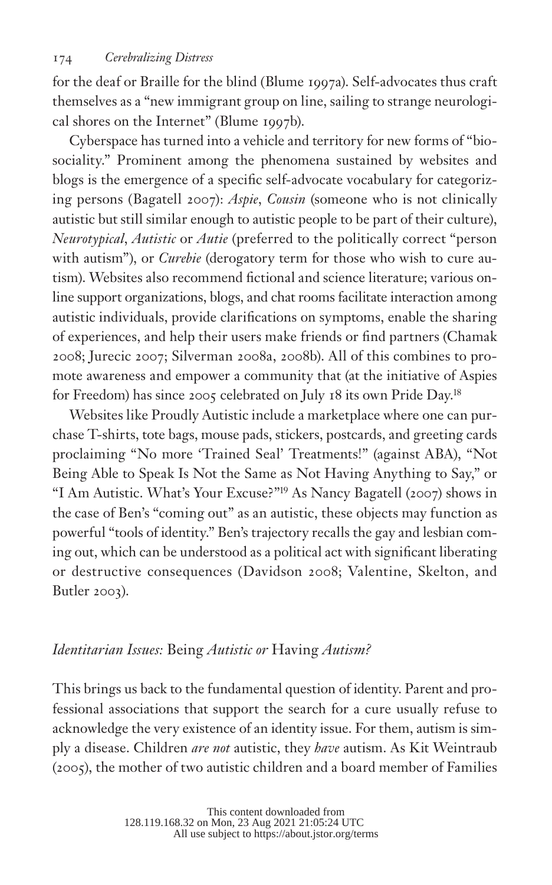for the deaf or Braille for the blind (Blume 1997a). Self- advocates thus craft themselves as a "new immigrant group on line, sailing to strange neurological shores on the Internet" (Blume 1997b).

Cyberspace has turned into a vehicle and territory for new forms of "biosociality." Prominent among the phenomena sustained by websites and blogs is the emergence of a specific self- advocate vocabulary for categorizing persons (Bagatell 2007): *Aspie*, *Cousin* (someone who is not clinically autistic but still similar enough to autistic people to be part of their culture), *Neurotypical, Autistic* or *Autie* (preferred to the politically correct "person with autism"), or *Curebie* (derogatory term for those who wish to cure autism). Websites also recommend fictional and science literature; various online support organizations, blogs, and chat rooms facilitate interaction among autistic individuals, provide clarifications on symptoms, enable the sharing of experiences, and help their users make friends or find partners (Chamak 2008; Jurecic 2007; Silverman 2008a, 2008b). All of this combines to promote awareness and empower a community that (at the initiative of Aspies for Freedom) has since 2005 celebrated on July 18 its own Pride Day.18

Websites like Proudly Autistic include a marketplace where one can purchase T- shirts, tote bags, mouse pads, stickers, postcards, and greeting cards proclaiming "No more 'Trained Seal' Treatments!" (against ABA), "Not Being Able to Speak Is Not the Same as Not Having Anything to Say," or "I Am Autistic. What's Your Excuse?"19 As Nancy Bagatell (2007) shows in the case of Ben's "coming out" as an autistic, these objects may function as powerful "tools of identity." Ben's trajectory recalls the gay and lesbian coming out, which can be understood as a political act with significant liberating or destructive consequences (Davidson 2008; Valentine, Skelton, and Butler 2003).

# *Identitarian Issues:* Being *Autistic or* Having *Autism?*

This brings us back to the fundamental question of identity. Parent and professional associations that support the search for a cure usually refuse to acknowledge the very existence of an identity issue. For them, autism is simply a disease. Children *are not* autistic, they *have* autism. As Kit Weintraub (2005), the mother of two autistic children and a board member of Families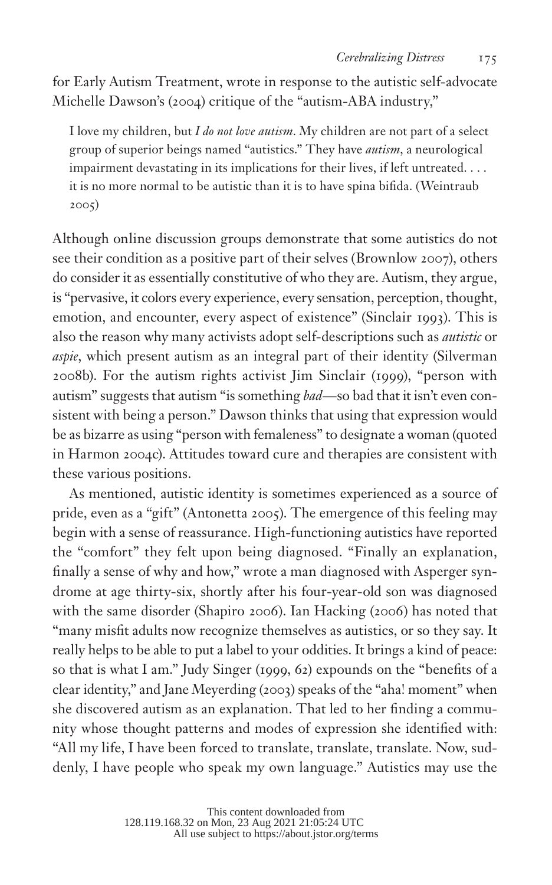for Early Autism Treatment, wrote in response to the autistic self- advocate Michelle Dawson's (2004) critique of the "autism- ABA industry,"

I love my children, but *I do not love autism*. My children are not part of a select group of superior beings named "autistics." They have *autism*, a neurological impairment devastating in its implications for their lives, if left untreated. . . . it is no more normal to be autistic than it is to have spina bifida. (Weintraub 2005)

Although online discussion groups demonstrate that some autistics do not see their condition as a positive part of their selves (Brownlow 2007), others do consider it as essentially constitutive of who they are. Autism, they argue, is "pervasive, it colors every experience, every sensation, perception, thought, emotion, and encounter, every aspect of existence" (Sinclair 1993). This is also the reason why many activists adopt self- descriptions such as *autistic* or *aspie*, which present autism as an integral part of their identity (Silverman 2008b). For the autism rights activist Jim Sinclair (1999), "person with autism" suggests that autism "is something *bad*—so bad that it isn't even consistent with being a person." Dawson thinks that using that expression would be as bizarre as using "person with femaleness" to designate a woman (quoted in Harmon 2004c). Attitudes toward cure and therapies are consistent with these various positions.

As mentioned, autistic identity is sometimes experienced as a source of pride, even as a "gift" (Antonetta 2005). The emergence of this feeling may begin with a sense of reassurance. High-functioning autistics have reported the "comfort" they felt upon being diagnosed. "Finally an explanation, finally a sense of why and how," wrote a man diagnosed with Asperger syndrome at age thirty-six, shortly after his four-year-old son was diagnosed with the same disorder (Shapiro 2006). Ian Hacking (2006) has noted that "many misfit adults now recognize themselves as autistics, or so they say. It really helps to be able to put a label to your oddities. It brings a kind of peace: so that is what I am." Judy Singer (1999, 62) expounds on the "benefits of a clear identity," and Jane Meyerding (2003) speaks of the "aha! moment" when she discovered autism as an explanation. That led to her finding a community whose thought patterns and modes of expression she identified with: "All my life, I have been forced to translate, translate, translate. Now, suddenly, I have people who speak my own language." Autistics may use the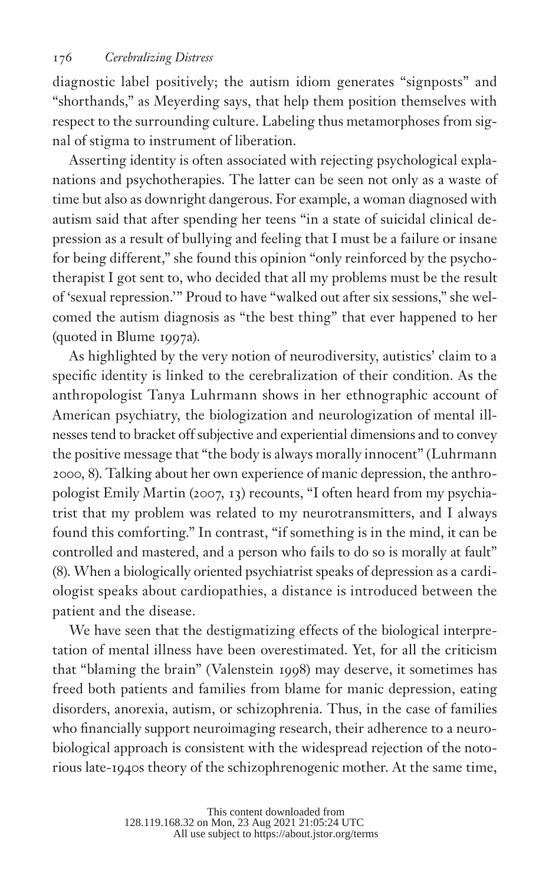diagnostic label positively; the autism idiom generates "signposts" and "shorthands," as Meyerding says, that help them position themselves with respect to the surrounding culture. Labeling thus metamorphoses from signal of stigma to instrument of liberation.

Asserting identity is often associated with rejecting psychological explanations and psychotherapies. The latter can be seen not only as a waste of time but also as downright dangerous. For example, a woman diagnosed with autism said that after spending her teens "in a state of suicidal clinical depression as a result of bullying and feeling that I must be a failure or insane for being different," she found this opinion "only reinforced by the psychotherapist I got sent to, who decided that all my problems must be the result of 'sexual repression.'" Proud to have "walked out after six sessions," she welcomed the autism diagnosis as "the best thing" that ever happened to her (quoted in Blume 1997a).

As highlighted by the very notion of neurodiversity, autistics' claim to a specific identity is linked to the cerebralization of their condition. As the anthropologist Tanya Luhrmann shows in her ethnographic account of American psychiatry, the biologization and neurologization of mental illnesses tend to bracket off subjective and experiential dimensions and to convey the positive message that "the body is always morally innocent" (Luhrmann 2000, 8). Talking about her own experience of manic depression, the anthropologist Emily Martin (2007, 13) recounts, "I often heard from my psychiatrist that my problem was related to my neurotransmitters, and I always found this comforting." In contrast, "if something is in the mind, it can be controlled and mastered, and a person who fails to do so is morally at fault" (8). When a biologically oriented psychiatrist speaks of depression as a cardiologist speaks about cardiopathies, a distance is introduced between the patient and the disease.

We have seen that the destigmatizing effects of the biological interpretation of mental illness have been overestimated. Yet, for all the criticism that "blaming the brain" (Valenstein 1998) may deserve, it sometimes has freed both patients and families from blame for manic depression, eating disorders, anorexia, autism, or schizophrenia. Thus, in the case of families who financially support neuroimaging research, their adherence to a neurobiological approach is consistent with the widespread rejection of the notorious late-1940s theory of the schizophrenogenic mother. At the same time,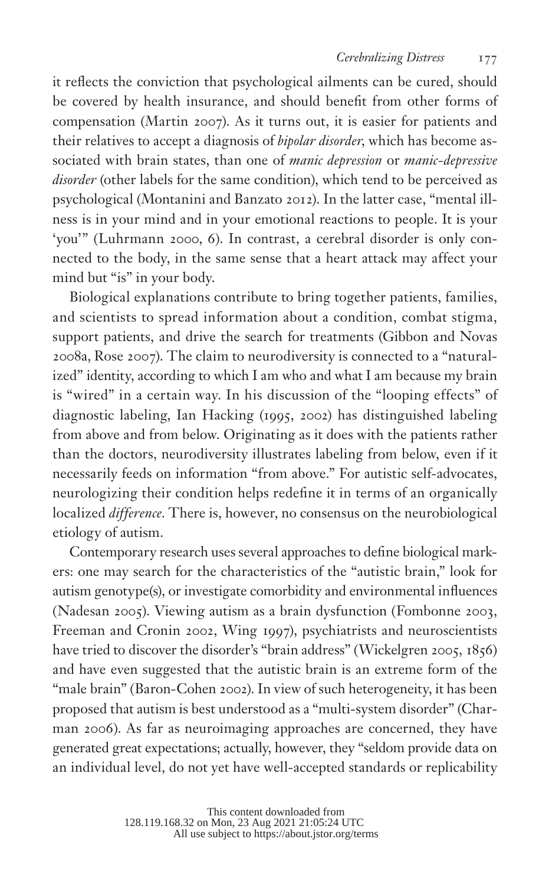it reflects the conviction that psychological ailments can be cured, should be covered by health insurance, and should benefit from other forms of compensation (Martin 2007). As it turns out, it is easier for patients and their relatives to accept a diagnosis of *bipolar disorder*, which has become associated with brain states, than one of *manic depression* or *manic- depressive disorder* (other labels for the same condition), which tend to be perceived as psychological (Montanini and Banzato 2012). In the latter case, " mental illness is in your mind and in your emotional reactions to people. It is your 'you'" (Luhrmann 2000, 6). In contrast, a cerebral disorder is only connected to the body, in the same sense that a heart attack may affect your mind but "is" in your body.

Biological explanations contribute to bring together patients, families, and scientists to spread information about a condition, combat stigma, support patients, and drive the search for treatments (Gibbon and Novas 2008a, Rose 2007). The claim to neurodiversity is connected to a "naturalized" identity, according to which I am who and what I am because my brain is "wired" in a certain way. In his discussion of the "looping effects" of diagnostic labeling, Ian Hacking (1995, 2002) has distinguished labeling from above and from below. Originating as it does with the patients rather than the doctors, neurodiversity illustrates labeling from below, even if it necessarily feeds on information "from above." For autistic self- advocates, neurologizing their condition helps redefine it in terms of an organically localized *difference*. There is, however, no consensus on the neurobiological etiology of autism.

Contemporary research uses several approaches to define biological markers: one may search for the characteristics of the "autistic brain," look for autism genotype(s), or investigate comorbidity and environmental influences (Nadesan 2005). Viewing autism as a brain dysfunction (Fombonne 2003, Freeman and Cronin 2002, Wing 1997), psychiatrists and neuroscientists have tried to discover the disorder's "brain address" (Wickelgren 2005, 1856) and have even suggested that the autistic brain is an extreme form of the "male brain" (Baron-Cohen 2002). In view of such heterogeneity, it has been proposed that autism is best understood as a "multi-system disorder" (Charman 2006). As far as neuroimaging approaches are concerned, they have generated great expectations; actually, however, they "seldom provide data on an individual level, do not yet have well-accepted standards or replicability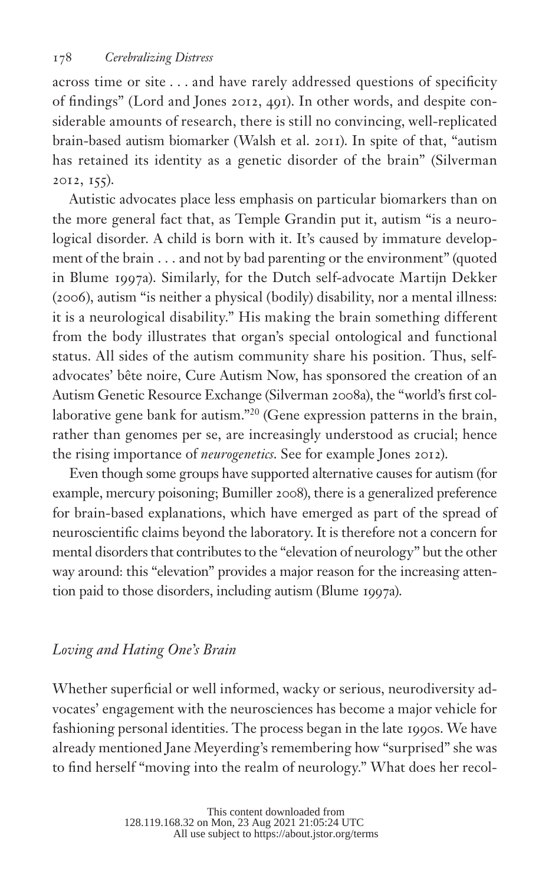across time or site . . . and have rarely addressed questions of specificity of findings" (Lord and Jones 2012, 491). In other words, and despite considerable amounts of research, there is still no convincing, well-replicated brain- based autism biomarker (Walsh et al. 2011). In spite of that, "autism has retained its identity as a genetic disorder of the brain" (Silverman 2012, 155).

Autistic advocates place less emphasis on particular biomarkers than on the more general fact that, as Temple Grandin put it, autism "is a neurological disorder. A child is born with it. It's caused by immature development of the brain . . . and not by bad parenting or the environment" (quoted in Blume 1997a). Similarly, for the Dutch self- advocate Martijn Dekker (2006), autism "is neither a physical (bodily) disability, nor a mental illness: it is a neurological disability." His making the brain something different from the body illustrates that organ's special ontological and functional status. All sides of the autism community share his position. Thus, selfadvocates' bête noire, Cure Autism Now, has sponsored the creation of an Autism Genetic Resource Exchange (Silverman 2008a), the "world's first collaborative gene bank for autism."20 (Gene expression patterns in the brain, rather than genomes per se, are increasingly understood as crucial; hence the rising importance of *neurogenetics*. See for example Jones 2012).

Even though some groups have supported alternative causes for autism (for example, mercury poisoning; Bumiller 2008), there is a generalized preference for brain- based explanations, which have emerged as part of the spread of neuroscientific claims beyond the laboratory. It is therefore not a concern for mental disorders that contributes to the "elevation of neurology" but the other way around: this "elevation" provides a major reason for the increasing attention paid to those disorders, including autism (Blume 1997a).

## *Loving and Hating One's Brain*

Whether superficial or well informed, wacky or serious, neurodiversity advocates' engagement with the neurosciences has become a major vehicle for fashioning personal identities. The process began in the late 1990s. We have already mentioned Jane Meyerding's remembering how "surprised" she was to find herself "moving into the realm of neurology." What does her recol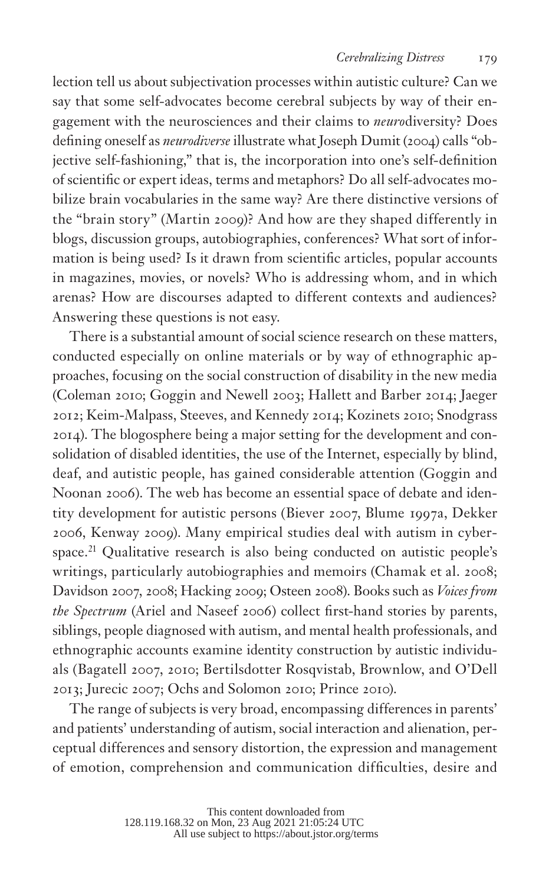lection tell us about subjectivation processes within autistic culture? Can we say that some self-advocates become cerebral subjects by way of their engagement with the neurosciences and their claims to *neuro*diversity? Does defining oneself as *neurodiverse* illustrate what Joseph Dumit (2004) calls "objective self-fashioning," that is, the incorporation into one's self-definition of scientific or expert ideas, terms and meta phors? Do all self- advocates mobilize brain vocabularies in the same way? Are there distinctive versions of the "brain story" (Martin 2009)? And how are they shaped differently in blogs, discussion groups, autobiographies, conferences? What sort of information is being used? Is it drawn from scientific articles, popular accounts in magazines, movies, or novels? Who is addressing whom, and in which arenas? How are discourses adapted to different contexts and audiences? Answering these questions is not easy.

There is a substantial amount of social science research on these matters, conducted especially on online materials or by way of ethnographic approaches, focusing on the social construction of disability in the new media (Coleman 2010; Goggin and Newell 2003; Hallett and Barber 2014; Jaeger 2012; Keim- Malpass, Steeves, and Kennedy 2014; Kozinets 2010; Snodgrass 2014). The blogosphere being a major setting for the development and consolidation of disabled identities, the use of the Internet, especially by blind, deaf, and autistic people, has gained considerable attention (Goggin and Noonan 2006). The web has become an essential space of debate and identity development for autistic persons (Biever 2007, Blume 1997a, Dekker 2006, Kenway 2009). Many empirical studies deal with autism in cyberspace.<sup>21</sup> Qualitative research is also being conducted on autistic people's writings, particularly autobiographies and memoirs (Chamak et al. 2008; Davidson 2007, 2008; Hacking 2009; Osteen 2008). Books such as *Voices from the Spectrum* (Ariel and Naseef 2006) collect first-hand stories by parents, siblings, people diagnosed with autism, and mental health professionals, and ethnographic accounts examine identity construction by autistic individuals (Bagatell 2007, 2010; Bertilsdotter Rosqvistab, Brownlow, and O'Dell 2013; Jurecic 2007; Ochs and Solomon 2010; Prince 2010).

The range of subjects is very broad, encompassing differences in parents' and patients' understanding of autism, social interaction and alienation, perceptual differences and sensory distortion, the expression and management of emotion, comprehension and communication difficulties, desire and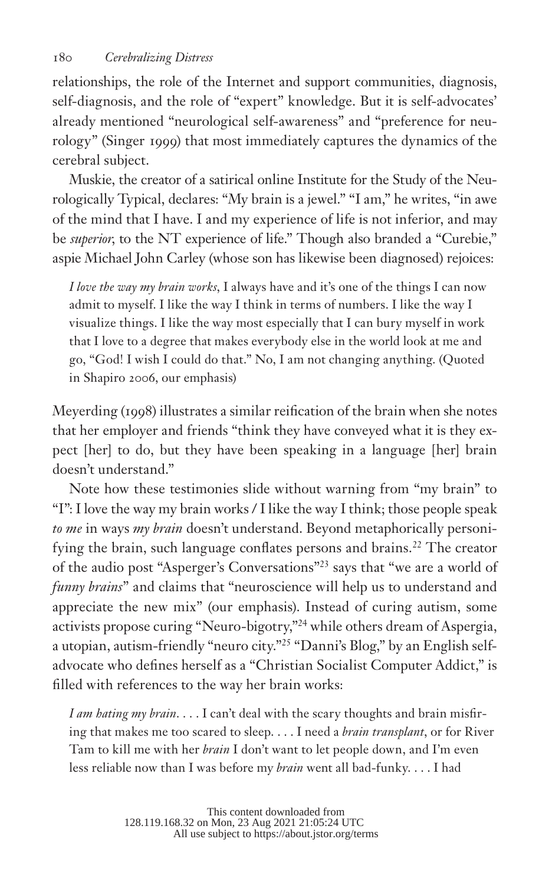relationships, the role of the Internet and support communities, diagnosis, self-diagnosis, and the role of "expert" knowledge. But it is self-advocates' already mentioned "neurological self-awareness" and "preference for neurology" (Singer 1999) that most immediately captures the dynamics of the cerebral subject.

Muskie, the creator of a satirical online Institute for the Study of the Neurologically Typical, declares: "My brain is a jewel." "I am," he writes, "in awe of the mind that I have. I and my experience of life is not inferior, and may be *superior*, to the NT experience of life." Though also branded a "Curebie," aspie Michael John Carley (whose son has likewise been diagnosed) rejoices:

*I love the way my brain works*, I always have and it's one of the things I can now admit to myself. I like the way I think in terms of numbers. I like the way I visualize things. I like the way most especially that I can bury myself in work that I love to a degree that makes everybody else in the world look at me and go, "God! I wish I could do that." No, I am not changing anything. (Quoted in Shapiro 2006, our emphasis)

Meyerding (1998) illustrates a similar reification of the brain when she notes that her employer and friends "think they have conveyed what it is they expect [her] to do, but they have been speaking in a language [her] brain doesn't understand."

Note how these testimonies slide without warning from "my brain" to "I": I love the way my brain works / I like the way I think; those people speak *to me* in ways *my brain* doesn't understand. Beyond metaphorically personifying the brain, such language conflates persons and brains.<sup>22</sup> The creator of the audio post "Asperger's Conversations"23 says that "we are a world of *funny brains*" and claims that "neuroscience will help us to understand and appreciate the new mix" (our emphasis). Instead of curing autism, some activists propose curing "Neuro-bigotry,"<sup>24</sup> while others dream of Aspergia, a utopian, autism-friendly "neuro city."<sup>25</sup> "Danni's Blog," by an English selfadvocate who defines herself as a "Christian Socialist Computer Addict," is filled with references to the way her brain works:

*I am hating my brain*. . . . I can't deal with the scary thoughts and brain misfiring that makes me too scared to sleep. . . . I need a *brain transplant*, or for River Tam to kill me with her *brain* I don't want to let people down, and I'm even less reliable now than I was before my *brain* went all bad-funky. . . . I had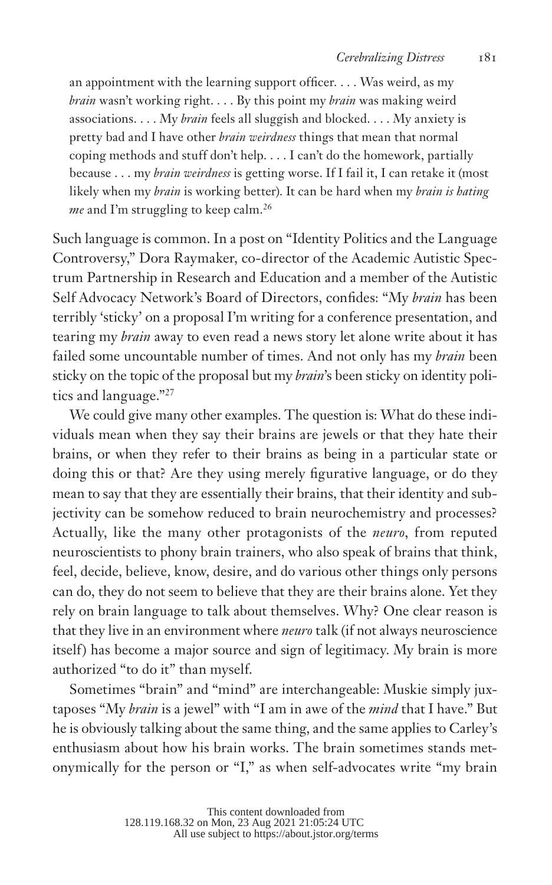an appointment with the learning support officer. . . . Was weird, as my *brain* wasn't working right. . . . By this point my *brain* was making weird associations. . . . My *brain* feels all sluggish and blocked. . . . My anxiety is pretty bad and I have other *brain weirdness* things that mean that normal coping methods and stuff don't help. . . . I can't do the homework, partially because . . . my *brain weirdness* is getting worse. If I fail it, I can retake it (most likely when my *brain* is working better). It can be hard when my *brain is hating me* and I'm struggling to keep calm.<sup>26</sup>

Such language is common. In a post on "Identity Politics and the Language Controversy," Dora Raymaker, co- director of the Academic Autistic Spectrum Partnership in Research and Education and a member of the Autistic Self Advocacy Network's Board of Directors, confides: "My *brain* has been terribly 'sticky' on a proposal I'm writing for a conference presentation, and tearing my *brain* away to even read a news story let alone write about it has failed some uncountable number of times. And not only has my *brain* been sticky on the topic of the proposal but my *brain*'s been sticky on identity politics and language."27

We could give many other examples. The question is: What do these individuals mean when they say their brains are jewels or that they hate their brains, or when they refer to their brains as being in a particular state or doing this or that? Are they using merely figurative language, or do they mean to say that they are essentially their brains, that their identity and subjectivity can be somehow reduced to brain neurochemistry and processes? Actually, like the many other protagonists of the *neuro*, from reputed neuroscientists to phony brain trainers, who also speak of brains that think, feel, decide, believe, know, desire, and do various other things only persons can do, they do not seem to believe that they are their brains alone. Yet they rely on brain language to talk about themselves. Why? One clear reason is that they live in an environment where *neuro* talk (if not always neuroscience itself) has become a major source and sign of legitimacy. My brain is more authorized "to do it" than myself.

Sometimes "brain" and "mind" are interchangeable: Muskie simply juxtaposes "My *brain* is a jewel" with "I am in awe of the *mind* that I have." But he is obviously talking about the same thing, and the same applies to Carley's enthusiasm about how his brain works. The brain sometimes stands metonymically for the person or "I," as when self-advocates write "my brain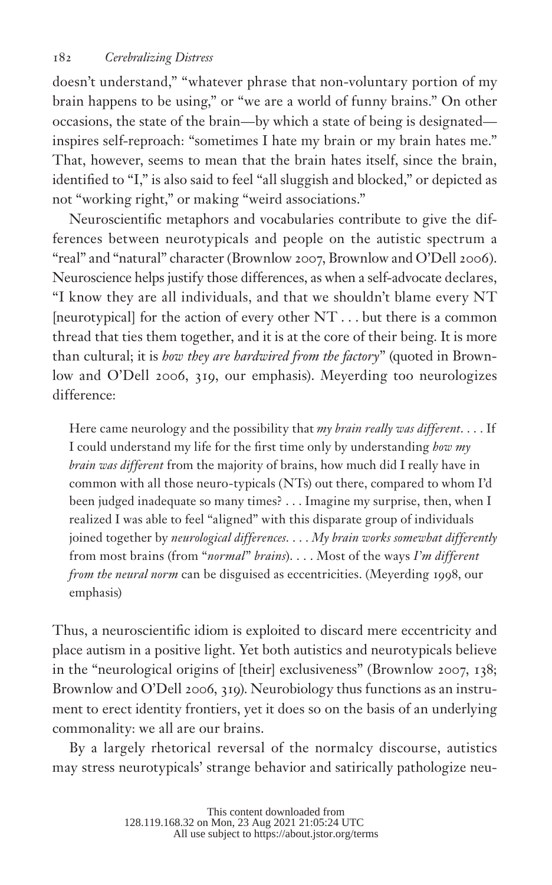doesn't understand," "whatever phrase that non-voluntary portion of my brain happens to be using," or "we are a world of funny brains." On other occasions, the state of the brain—by which a state of being is designated inspires self-reproach: "sometimes I hate my brain or my brain hates me." That, however, seems to mean that the brain hates itself, since the brain, identified to "I," is also said to feel "all sluggish and blocked," or depicted as not "working right," or making "weird associations."

Neuroscientific metaphors and vocabularies contribute to give the differences between neurotypicals and people on the autistic spectrum a "real" and "natural" character (Brownlow 2007, Brownlow and O'Dell 2006). Neuroscience helps justify those differences, as when a self-advocate declares, "I know they are all individuals, and that we shouldn't blame every NT [neurotypical] for the action of every other NT . . . but there is a common thread that ties them together, and it is at the core of their being. It is more than cultural; it is *how they are hardwired from the factory*" (quoted in Brownlow and O'Dell 2006, 319, our emphasis). Meyerding too neurologizes difference:

Here came neurology and the possibility that *my brain really was different*. . . . If I could understand my life for the first time only by understanding *how my brain was dif fer ent* from the majority of brains, how much did I really have in common with all those neuro-typicals (NTs) out there, compared to whom I'd been judged inadequate so many times? . . . Imagine my surprise, then, when I realized I was able to feel "aligned" with this disparate group of individuals joined together by *neurological differences*. . . . *My brain works somewhat differently* from most brains (from "*normal*" *brains*). . . . Most of the ways *I'm dif fer ent from the neural norm* can be disguised as eccentricities. (Meyerding 1998, our emphasis)

Thus, a neuroscientific idiom is exploited to discard mere eccentricity and place autism in a positive light. Yet both autistics and neurotypicals believe in the "neurological origins of [their] exclusiveness" (Brownlow 2007, 138; Brownlow and O'Dell 2006, 319). Neurobiology thus functions as an instrument to erect identity frontiers, yet it does so on the basis of an underlying commonality: we all are our brains.

By a largely rhetorical reversal of the normalcy discourse, autistics may stress neurotypicals' strange behavior and satirically pathologize neu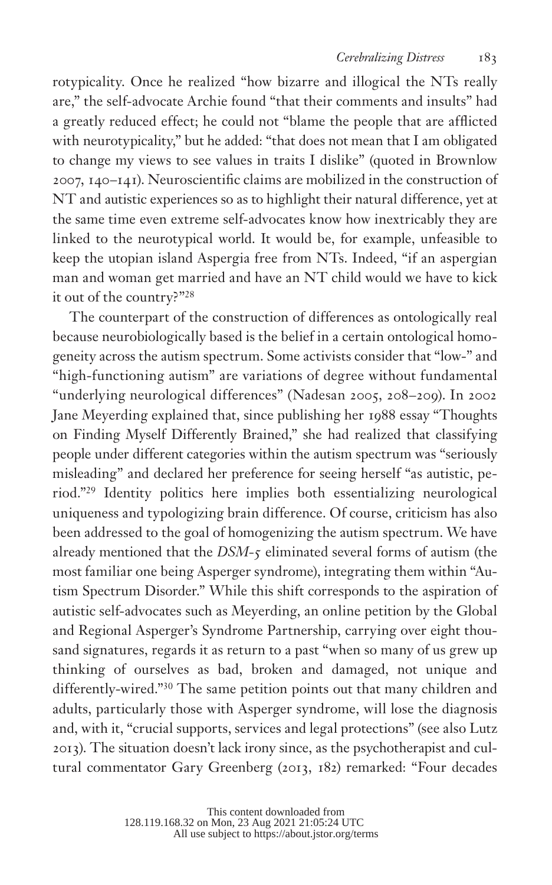rotypicality. Once he realized "how bizarre and illogical the NTs really are," the self-advocate Archie found "that their comments and insults" had a greatly reduced effect; he could not "blame the people that are afflicted with neurotypicality," but he added: "that does not mean that I am obligated to change my views to see values in traits I dislike" (quoted in Brownlow 2007, 140–141). Neuroscientific claims are mobilized in the construction of NT and autistic experiences so as to highlight their natural difference, yet at the same time even extreme self-advocates know how inextricably they are linked to the neurotypical world. It would be, for example, unfeasible to keep the utopian island Aspergia free from NTs. Indeed, "if an aspergian man and woman get married and have an NT child would we have to kick it out of the country?"28

The counterpart of the construction of differences as ontologically real because neurobiologically based is the belief in a certain ontological homogeneity across the autism spectrum. Some activists consider that "low-" and "high-functioning autism" are variations of degree without fundamental "underlying neurological differences" (Nadesan 2005, 208-209). In 2002 Jane Meyerding explained that, since publishing her 1988 essay "Thoughts on Finding Myself Differently Brained," she had realized that classifying people under different categories within the autism spectrum was "seriously misleading" and declared her preference for seeing herself "as autistic, period."29 Identity politics here implies both essentializing neurological uniqueness and typologizing brain difference. Of course, criticism has also been addressed to the goal of homogenizing the autism spectrum. We have already mentioned that the *DSM-5* eliminated several forms of autism (the most familiar one being Asperger syndrome), integrating them within "Autism Spectrum Disorder." While this shift corresponds to the aspiration of autistic self- advocates such as Meyerding, an online petition by the Global and Regional Asperger's Syndrome Partnership, carrying over eight thousand signatures, regards it as return to a past "when so many of us grew up thinking of ourselves as bad, broken and damaged, not unique and differently-wired."<sup>30</sup> The same petition points out that many children and adults, particularly those with Asperger syndrome, will lose the diagnosis and, with it, "crucial supports, services and legal protections" (see also Lutz 2013). The situation doesn't lack irony since, as the psychotherapist and cultural commentator Gary Greenberg (2013, 182) remarked: "Four decades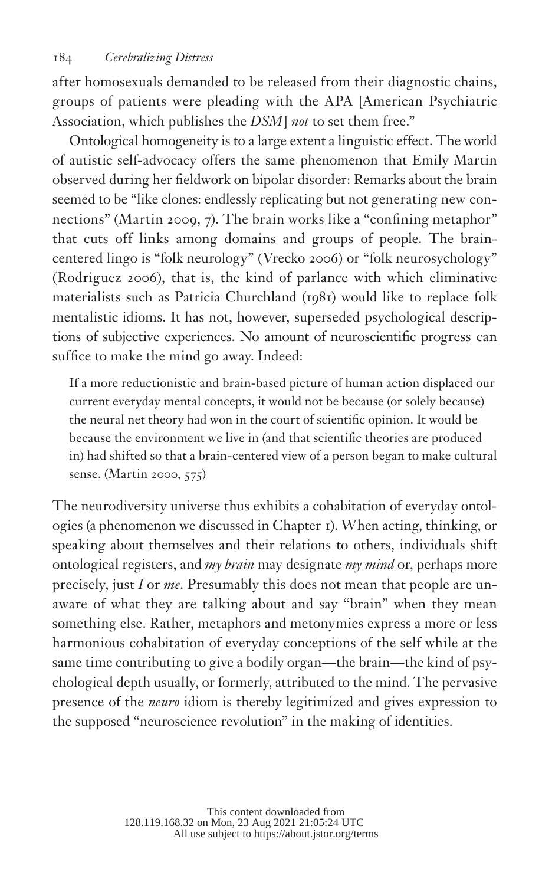after homosexuals demanded to be released from their diagnostic chains, groups of patients were pleading with the APA [American Psychiatric Association, which publishes the *DSM*] *not* to set them free."

Ontological homogeneity is to a large extent a linguistic effect. The world of autistic self- advocacy offers the same phenomenon that Emily Martin observed during her fieldwork on bipolar disorder: Remarks about the brain seemed to be "like clones: endlessly replicating but not generating new connections" (Martin 2009, 7). The brain works like a "confining metaphor" that cuts off links among domains and groups of people. The braincentered lingo is "folk neurology" (Vrecko 2006) or "folk neurosychology" (Rodriguez 2006), that is, the kind of parlance with which eliminative materialists such as Patricia Churchland (1981) would like to replace folk mentalistic idioms. It has not, however, superseded psychological descriptions of subjective experiences. No amount of neuroscientific progress can suffice to make the mind go away. Indeed:

If a more reductionistic and brain- based picture of human action displaced our current everyday mental concepts, it would not be because (or solely because) the neural net theory had won in the court of scientific opinion. It would be because the environment we live in (and that scientific theories are produced in) had shifted so that a brain- centered view of a person began to make cultural sense. (Martin 2000, 575)

The neurodiversity universe thus exhibits a cohabitation of everyday ontologies (a phenomenon we discussed in Chapter 1). When acting, thinking, or speaking about themselves and their relations to others, individuals shift ontological registers, and *my brain* may designate *my mind* or, perhaps more precisely, just *I* or *me*. Presumably this does not mean that people are unaware of what they are talking about and say "brain" when they mean something else. Rather, metaphors and metonymies express a more or less harmonious cohabitation of everyday conceptions of the self while at the same time contributing to give a bodily organ— the brain— the kind of psychological depth usually, or formerly, attributed to the mind. The pervasive presence of the *neuro* idiom is thereby legitimized and gives expression to the supposed "neuroscience revolution" in the making of identities.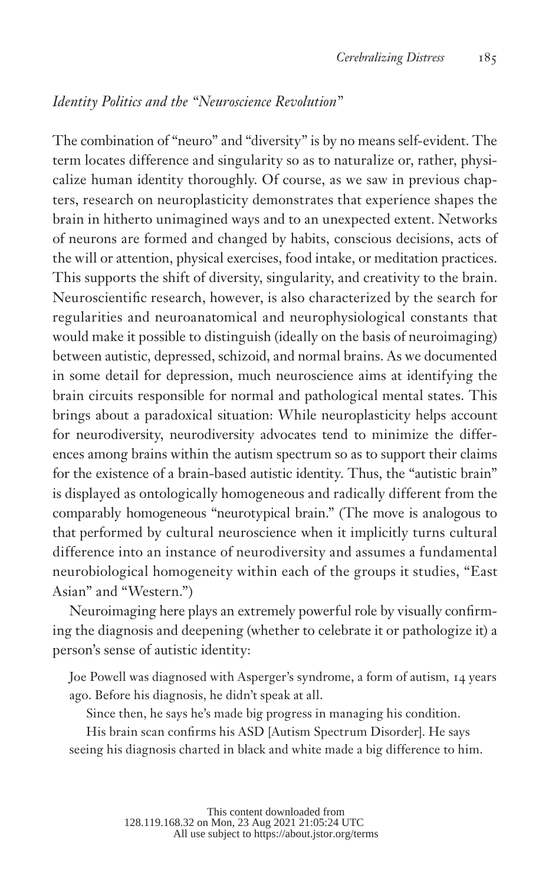# *Identity Politics and the "Neuroscience Revolution"*

The combination of "neuro" and "diversity" is by no means self- evident. The term locates difference and singularity so as to naturalize or, rather, physicalize human identity thoroughly. Of course, as we saw in previous chapters, research on neuroplasticity demonstrates that experience shapes the brain in hitherto unimagined ways and to an unexpected extent. Networks of neurons are formed and changed by habits, conscious decisions, acts of the will or attention, physical exercises, food intake, or meditation practices. This supports the shift of diversity, singularity, and creativity to the brain. Neuroscientific research, however, is also characterized by the search for regularities and neuroanatomical and neurophysiological constants that would make it possible to distinguish (ideally on the basis of neuroimaging) between autistic, depressed, schizoid, and normal brains. As we documented in some detail for depression, much neuroscience aims at identifying the brain circuits responsible for normal and pathological mental states. This brings about a paradoxical situation: While neuroplasticity helps account for neurodiversity, neurodiversity advocates tend to minimize the differences among brains within the autism spectrum so as to support their claims for the existence of a brain- based autistic identity. Thus, the "autistic brain" is displayed as ontologically homogeneous and radically different from the comparably homogeneous "neurotypical brain." (The move is analogous to that performed by cultural neuroscience when it implicitly turns cultural difference into an instance of neurodiversity and assumes a fundamental neurobiological homogeneity within each of the groups it studies, "East Asian" and "Western.")

Neuroimaging here plays an extremely powerful role by visually confirming the diagnosis and deepening ( whether to celebrate it or pathologize it) a person's sense of autistic identity:

Joe Powell was diagnosed with Asperger's syndrome, a form of autism, 14 years ago. Before his diagnosis, he didn't speak at all.

Since then, he says he's made big progress in managing his condition.

His brain scan confirms his ASD [Autism Spectrum Disorder]. He says seeing his diagnosis charted in black and white made a big difference to him.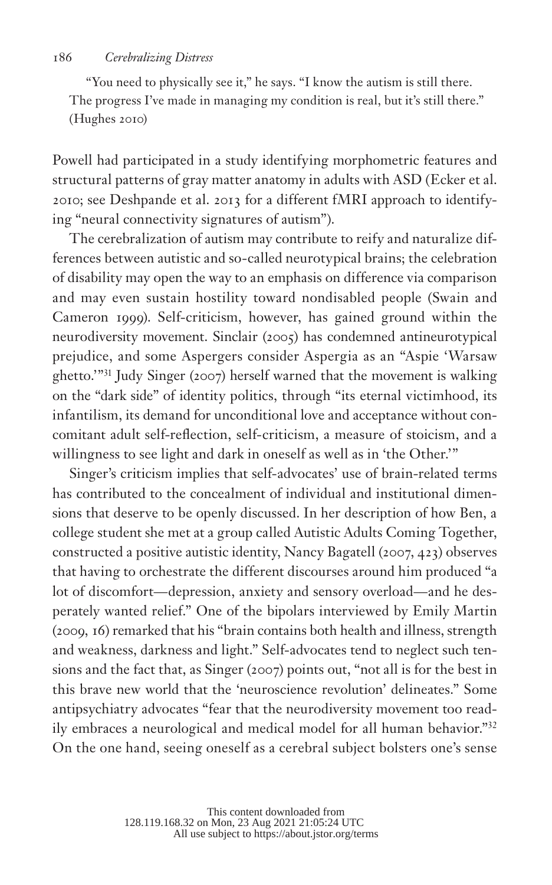"You need to physically see it," he says. "I know the autism is still there. The progress I've made in managing my condition is real, but it's still there." (Hughes 2010)

Powell had participated in a study identifying morphometric features and structural patterns of gray matter anatomy in adults with ASD (Ecker et al. 2010; see Deshpande et al. 2013 for a different fMRI approach to identifying "neural connectivity signatures of autism").

The cerebralization of autism may contribute to reify and naturalize differences between autistic and so-called neurotypical brains; the celebration of disability may open the way to an emphasis on difference via comparison and may even sustain hostility toward nondisabled people (Swain and Cameron 1999). Self- criticism, however, has gained ground within the neurodiversity movement. Sinclair (2005) has condemned antineurotypical prejudice, and some Aspergers consider Aspergia as an "Aspie 'Warsaw ghetto.'"<sup>31</sup> Judy Singer (2007) herself warned that the movement is walking on the "dark side" of identity politics, through "its eternal victimhood, its infantilism, its demand for unconditional love and acceptance without concomitant adult self-reflection, self-criticism, a measure of stoicism, and a willingness to see light and dark in oneself as well as in 'the Other.'"

Singer's criticism implies that self- advocates' use of brain- related terms has contributed to the concealment of individual and institutional dimensions that deserve to be openly discussed. In her description of how Ben, a college student she met at a group called Autistic Adults Coming Together, constructed a positive autistic identity, Nancy Bagatell (2007, 423) observes that having to orchestrate the different discourses around him produced "a lot of discomfort— depression, anxiety and sensory overload— and he desperately wanted relief." One of the bipolars interviewed by Emily Martin (2009, 16) remarked that his "brain contains both health and illness, strength and weakness, darkness and light." Self-advocates tend to neglect such tensions and the fact that, as Singer (2007) points out, "not all is for the best in this brave new world that the 'neuroscience revolution' delineates." Some antipsychiatry advocates "fear that the neurodiversity movement too readily embraces a neurological and medical model for all human behavior."32 On the one hand, seeing oneself as a cerebral subject bolsters one's sense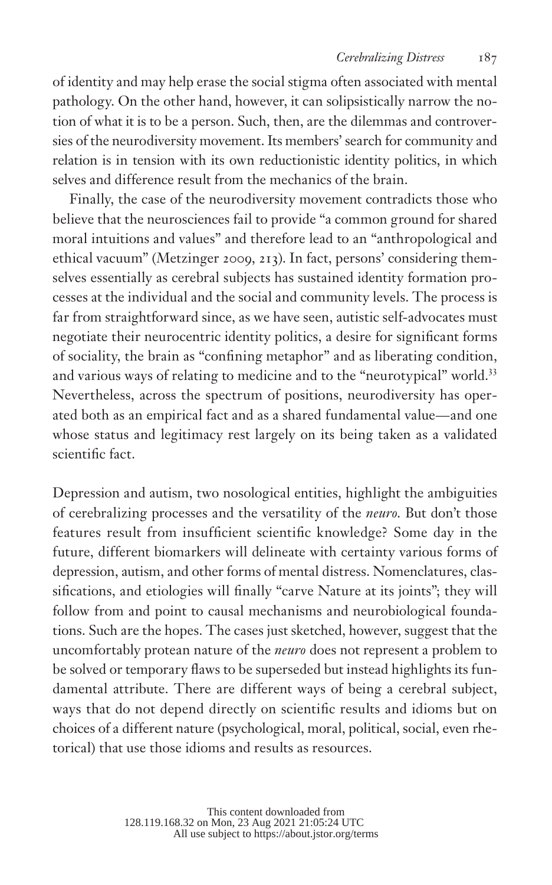of identity and may help erase the social stigma often associated with mental pathology. On the other hand, however, it can solipsistically narrow the notion of what it is to be a person. Such, then, are the dilemmas and controversies of the neurodiversity movement. Its members' search for community and relation is in tension with its own reductionistic identity politics, in which selves and difference result from the mechanics of the brain.

Finally, the case of the neurodiversity movement contradicts those who believe that the neurosciences fail to provide "a common ground for shared moral intuitions and values" and therefore lead to an "anthropological and ethical vacuum" (Metzinger 2009, 213). In fact, persons' considering themselves essentially as cerebral subjects has sustained identity formation processes at the individual and the social and community levels. The process is far from straightforward since, as we have seen, autistic self-advocates must negotiate their neurocentric identity politics, a desire for significant forms of sociality, the brain as "confining metaphor" and as liberating condition, and various ways of relating to medicine and to the "neurotypical" world.<sup>33</sup> Nevertheless, across the spectrum of positions, neurodiversity has operated both as an empirical fact and as a shared fundamental value— and one whose status and legitimacy rest largely on its being taken as a validated scientific fact.

Depression and autism, two nosological entities, highlight the ambiguities of cerebralizing processes and the versatility of the *neuro*. But don't those features result from insufficient scientific knowledge? Some day in the future, different biomarkers will delineate with certainty various forms of depression, autism, and other forms of mental distress. Nomenclatures, classifications, and etiologies will finally "carve Nature at its joints"; they will follow from and point to causal mechanisms and neurobiological foundations. Such are the hopes. The cases just sketched, however, suggest that the uncomfortably protean nature of the *neuro* does not represent a problem to be solved or temporary flaws to be superseded but instead highlights its fundamental attribute. There are different ways of being a cerebral subject, ways that do not depend directly on scientific results and idioms but on choices of a different nature (psychological, moral, political, social, even rhetorical) that use those idioms and results as resources.